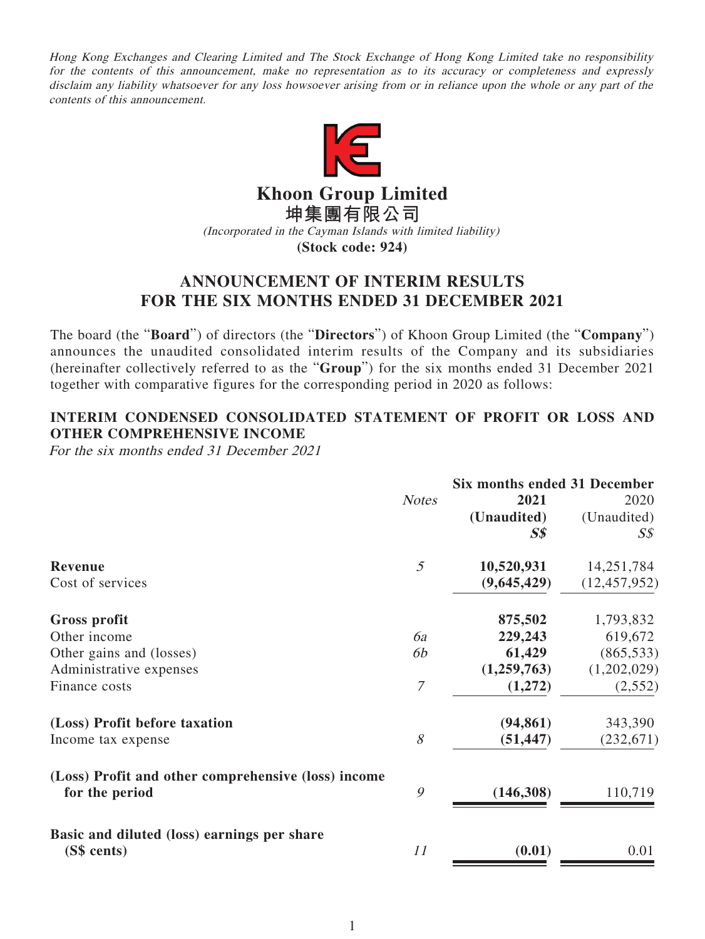Hong Kong Exchanges and Clearing Limited and The Stock Exchange of Hong Kong Limited take no responsibility for the contents of this announcement, make no representation as to its accuracy or completeness and expressly disclaim any liability whatsoever for any loss howsoever arising from or in reliance upon the whole or any part of the contents of this announcement.



**Khoon Group Limited**

**坤集團有限公司**

(Incorporated in the Cayman Islands with limited liability)

**(Stock code: 924)**

# **ANNOUNCEMENT OF INTERIM RESULTS FOR THE SIX MONTHS ENDED 31 DECEMBER 2021**

The board (the "**Board**") of directors (the "**Directors**") of Khoon Group Limited (the "**Company**") announces the unaudited consolidated interim results of the Company and its subsidiaries (hereinafter collectively referred to as the "**Group**") for the six months ended 31 December 2021 together with comparative figures for the corresponding period in 2020 as follows:

# **INTERIM CONDENSED CONSOLIDATED STATEMENT OF PROFIT OR LOSS AND OTHER COMPREHENSIVE INCOME**

For the six months ended 31 December 2021

|                                                                       | <b>Six months ended 31 December</b> |             |                |
|-----------------------------------------------------------------------|-------------------------------------|-------------|----------------|
|                                                                       | <b>Notes</b>                        | 2021        | 2020           |
|                                                                       |                                     | (Unaudited) | (Unaudited)    |
|                                                                       |                                     | $S\$        | $S\mathcal{S}$ |
| <b>Revenue</b>                                                        | 5                                   | 10,520,931  | 14,251,784     |
| Cost of services                                                      |                                     | (9,645,429) | (12, 457, 952) |
| <b>Gross profit</b>                                                   |                                     | 875,502     | 1,793,832      |
| Other income                                                          | 6a                                  | 229,243     | 619,672        |
| Other gains and (losses)                                              | 6b                                  | 61,429      | (865, 533)     |
| Administrative expenses                                               |                                     | (1,259,763) | (1,202,029)    |
| Finance costs                                                         | 7                                   | (1,272)     | (2, 552)       |
| (Loss) Profit before taxation                                         |                                     | (94, 861)   | 343,390        |
| Income tax expense                                                    | 8                                   | (51, 447)   | (232, 671)     |
| (Loss) Profit and other comprehensive (loss) income<br>for the period | 9                                   | (146,308)   | 110,719        |
| Basic and diluted (loss) earnings per share<br>(S\$ cents)            | 11                                  | (0.01)      | 0.01           |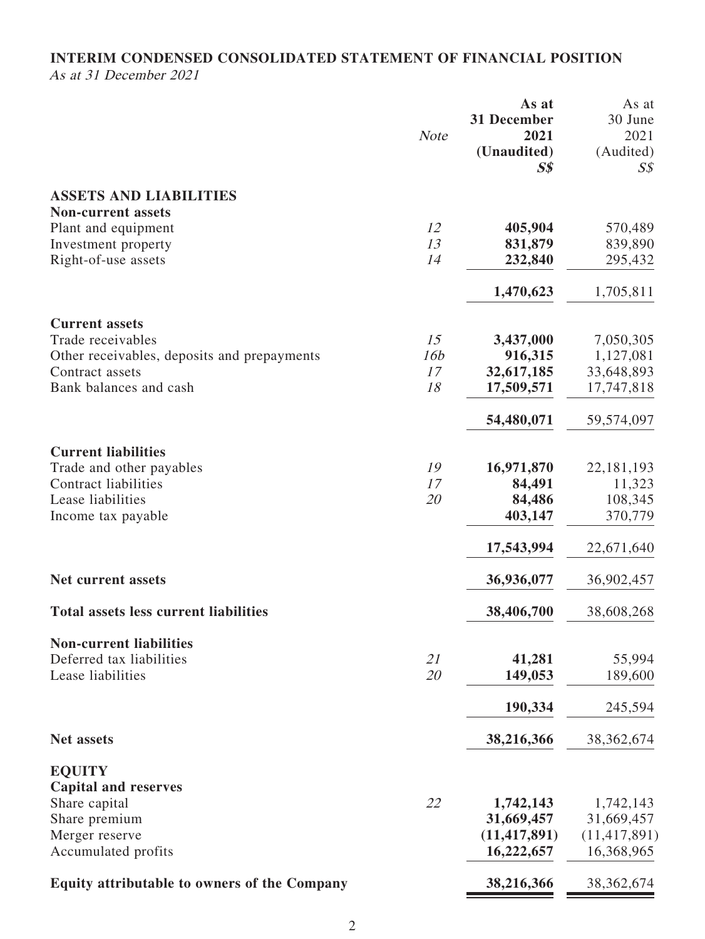## **INTERIM CONDENSED CONSOLIDATED STATEMENT OF FINANCIAL POSITION** As at 31 December 2021

|                                              | <b>Note</b> | As at<br>31 December<br>2021<br>(Unaudited)<br>$S\$ | As at<br>30 June<br>2021<br>(Audited)<br>$S\mathcal{S}$ |
|----------------------------------------------|-------------|-----------------------------------------------------|---------------------------------------------------------|
| <b>ASSETS AND LIABILITIES</b>                |             |                                                     |                                                         |
| <b>Non-current assets</b>                    |             |                                                     |                                                         |
| Plant and equipment                          | 12          | 405,904                                             | 570,489                                                 |
| Investment property                          | 13          | 831,879                                             | 839,890                                                 |
| Right-of-use assets                          | 14          | 232,840                                             | 295,432                                                 |
|                                              |             | 1,470,623                                           | 1,705,811                                               |
| <b>Current assets</b>                        |             |                                                     |                                                         |
| Trade receivables                            | 15          | 3,437,000                                           | 7,050,305                                               |
| Other receivables, deposits and prepayments  | 16b         | 916,315                                             | 1,127,081                                               |
| Contract assets                              | 17          | 32,617,185                                          | 33,648,893                                              |
| Bank balances and cash                       | 18          | 17,509,571                                          | 17,747,818                                              |
|                                              |             | 54,480,071                                          | 59,574,097                                              |
| <b>Current liabilities</b>                   |             |                                                     |                                                         |
| Trade and other payables                     | 19          | 16,971,870                                          | 22, 181, 193                                            |
| <b>Contract liabilities</b>                  | 17          | 84,491                                              | 11,323                                                  |
| Lease liabilities                            | 20          | 84,486                                              | 108,345                                                 |
| Income tax payable                           |             | 403,147                                             | 370,779                                                 |
|                                              |             | 17,543,994                                          | 22,671,640                                              |
| <b>Net current assets</b>                    |             | 36,936,077                                          | 36,902,457                                              |
| <b>Total assets less current liabilities</b> |             | 38,406,700                                          | 38,608,268                                              |
| <b>Non-current liabilities</b>               |             |                                                     |                                                         |
| Deferred tax liabilities                     | 21          | 41,281                                              | 55,994                                                  |
| Lease liabilities                            | 20          | 149,053                                             | 189,600                                                 |
|                                              |             | 190,334                                             | 245,594                                                 |
| <b>Net assets</b>                            |             | 38,216,366                                          | 38, 362, 674                                            |
| <b>EQUITY</b>                                |             |                                                     |                                                         |
| <b>Capital and reserves</b>                  |             |                                                     |                                                         |
| Share capital                                | 22          | 1,742,143                                           | 1,742,143                                               |
| Share premium                                |             | 31,669,457                                          | 31,669,457                                              |
| Merger reserve                               |             | (11, 417, 891)                                      | (11, 417, 891)                                          |
| Accumulated profits                          |             | 16,222,657                                          | 16,368,965                                              |
| Equity attributable to owners of the Company |             | 38,216,366                                          | 38, 362, 674                                            |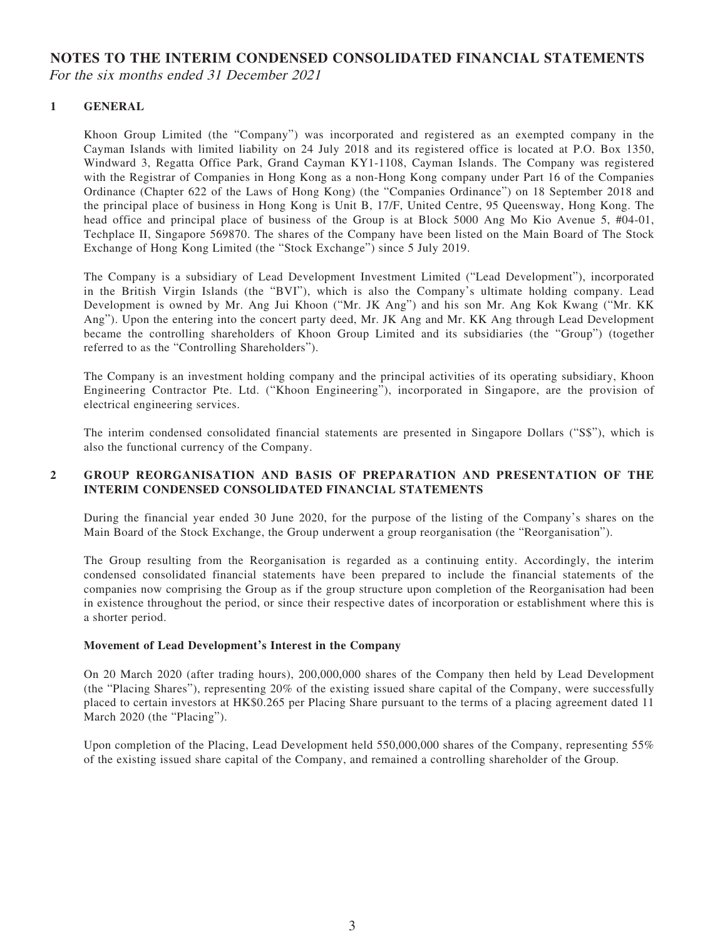### **NOTES TO THE INTERIM CONDENSED CONSOLIDATED FINANCIAL STATEMENTS** For the six months ended 31 December 2021

### **1 GENERAL**

Khoon Group Limited (the "Company") was incorporated and registered as an exempted company in the Cayman Islands with limited liability on 24 July 2018 and its registered office is located at P.O. Box 1350, Windward 3, Regatta Office Park, Grand Cayman KY1-1108, Cayman Islands. The Company was registered with the Registrar of Companies in Hong Kong as a non-Hong Kong company under Part 16 of the Companies Ordinance (Chapter 622 of the Laws of Hong Kong) (the "Companies Ordinance") on 18 September 2018 and the principal place of business in Hong Kong is Unit B, 17/F, United Centre, 95 Queensway, Hong Kong. The head office and principal place of business of the Group is at Block 5000 Ang Mo Kio Avenue 5, #04-01, Techplace II, Singapore 569870. The shares of the Company have been listed on the Main Board of The Stock Exchange of Hong Kong Limited (the "Stock Exchange") since 5 July 2019.

The Company is a subsidiary of Lead Development Investment Limited ("Lead Development"), incorporated in the British Virgin Islands (the "BVI"), which is also the Company's ultimate holding company. Lead Development is owned by Mr. Ang Jui Khoon ("Mr. JK Ang") and his son Mr. Ang Kok Kwang ("Mr. KK Ang"). Upon the entering into the concert party deed, Mr. JK Ang and Mr. KK Ang through Lead Development became the controlling shareholders of Khoon Group Limited and its subsidiaries (the "Group") (together referred to as the "Controlling Shareholders").

The Company is an investment holding company and the principal activities of its operating subsidiary, Khoon Engineering Contractor Pte. Ltd. ("Khoon Engineering"), incorporated in Singapore, are the provision of electrical engineering services.

The interim condensed consolidated financial statements are presented in Singapore Dollars ("S\$"), which is also the functional currency of the Company.

#### **2 GROUP REORGANISATION AND BASIS OF PREPARATION AND PRESENTATION OF THE INTERIM CONDENSED CONSOLIDATED FINANCIAL STATEMENTS**

During the financial year ended 30 June 2020, for the purpose of the listing of the Company's shares on the Main Board of the Stock Exchange, the Group underwent a group reorganisation (the "Reorganisation").

The Group resulting from the Reorganisation is regarded as a continuing entity. Accordingly, the interim condensed consolidated financial statements have been prepared to include the financial statements of the companies now comprising the Group as if the group structure upon completion of the Reorganisation had been in existence throughout the period, or since their respective dates of incorporation or establishment where this is a shorter period.

#### **Movement of Lead Development's Interest in the Company**

On 20 March 2020 (after trading hours), 200,000,000 shares of the Company then held by Lead Development (the "Placing Shares"), representing 20% of the existing issued share capital of the Company, were successfully placed to certain investors at HK\$0.265 per Placing Share pursuant to the terms of a placing agreement dated 11 March 2020 (the "Placing").

Upon completion of the Placing, Lead Development held 550,000,000 shares of the Company, representing 55% of the existing issued share capital of the Company, and remained a controlling shareholder of the Group.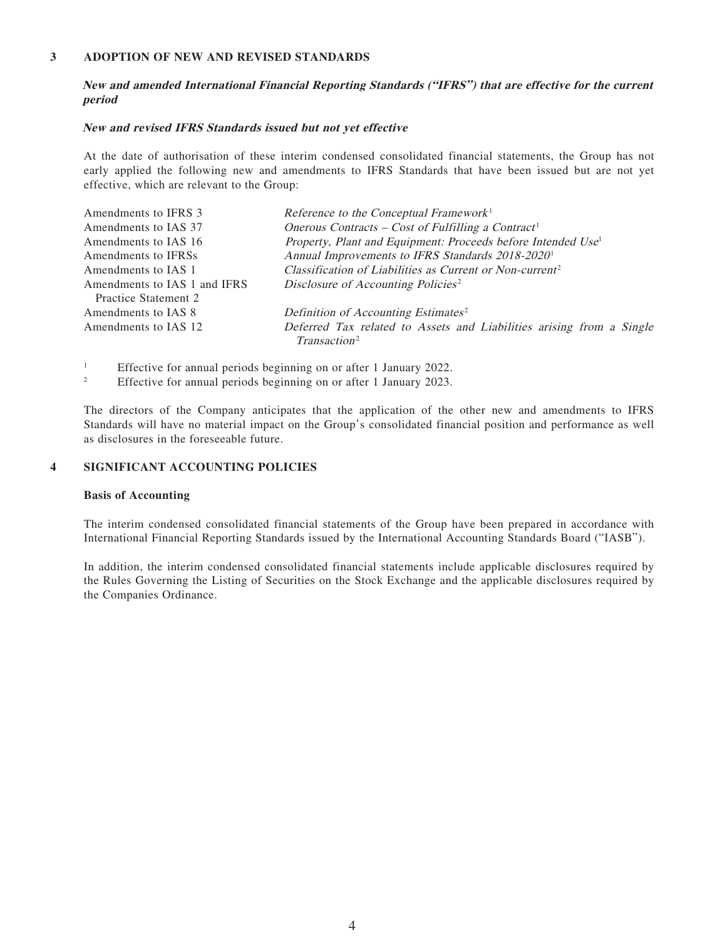#### **3 ADOPTION OF NEW AND REVISED STANDARDS**

#### **New and amended International Financial Reporting Standards ("IFRS") that are effective for the current period**

#### **New and revised IFRS Standards issued but not yet effective**

At the date of authorisation of these interim condensed consolidated financial statements, the Group has not early applied the following new and amendments to IFRS Standards that have been issued but are not yet effective, which are relevant to the Group:

| Amendments to IFRS 3         | Reference to the Conceptual Framework <sup>1</sup>                       |
|------------------------------|--------------------------------------------------------------------------|
| Amendments to IAS 37         | Onerous Contracts – Cost of Fulfilling a Contract <sup>1</sup>           |
| Amendments to IAS 16         | Property, Plant and Equipment: Proceeds before Intended Use <sup>1</sup> |
| Amendments to IFRSs          | Annual Improvements to IFRS Standards 2018-2020 <sup>1</sup>             |
| Amendments to IAS 1          | Classification of Liabilities as Current or Non-current <sup>2</sup>     |
| Amendments to IAS 1 and IFRS | Disclosure of Accounting Policies <sup>2</sup>                           |
| Practice Statement 2         |                                                                          |
| Amendments to IAS 8          | Definition of Accounting Estimates <sup>2</sup>                          |
| Amendments to IAS 12         | Deferred Tax related to Assets and Liabilities arising from a Single     |
|                              | Transaction <sup>2</sup>                                                 |
|                              |                                                                          |

1 Effective for annual periods beginning on or after 1 January 2022.

2 Effective for annual periods beginning on or after 1 January 2023.

The directors of the Company anticipates that the application of the other new and amendments to IFRS Standards will have no material impact on the Group's consolidated financial position and performance as well as disclosures in the foreseeable future.

#### **4 SIGNIFICANT ACCOUNTING POLICIES**

#### **Basis of Accounting**

The interim condensed consolidated financial statements of the Group have been prepared in accordance with International Financial Reporting Standards issued by the International Accounting Standards Board ("IASB").

In addition, the interim condensed consolidated financial statements include applicable disclosures required by the Rules Governing the Listing of Securities on the Stock Exchange and the applicable disclosures required by the Companies Ordinance.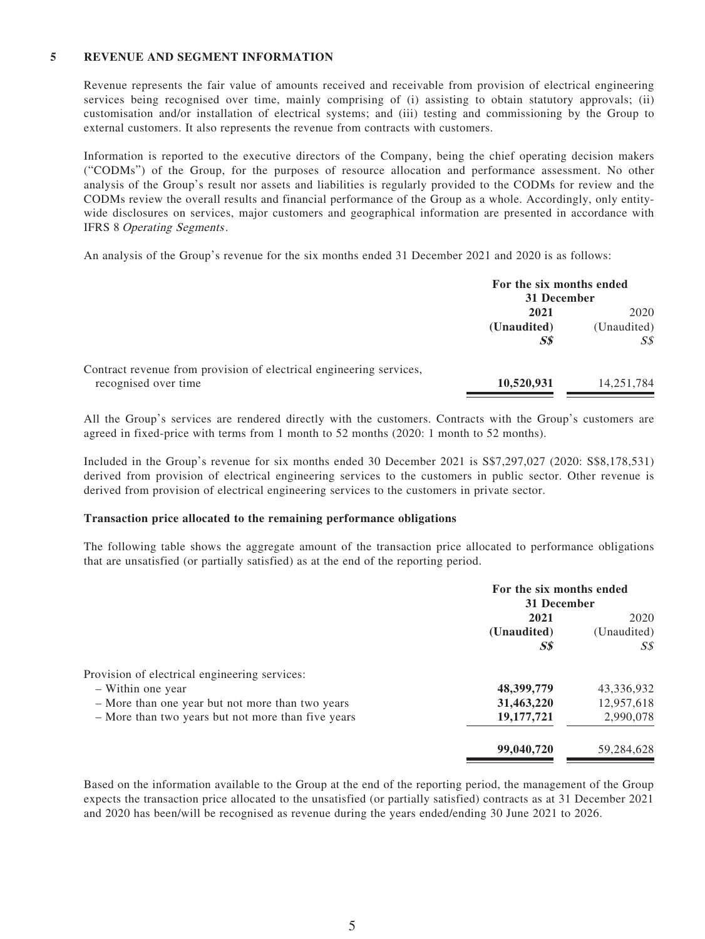#### **5 REVENUE AND SEGMENT INFORMATION**

Revenue represents the fair value of amounts received and receivable from provision of electrical engineering services being recognised over time, mainly comprising of (i) assisting to obtain statutory approvals; (ii) customisation and/or installation of electrical systems; and (iii) testing and commissioning by the Group to external customers. It also represents the revenue from contracts with customers.

Information is reported to the executive directors of the Company, being the chief operating decision makers ("CODMs") of the Group, for the purposes of resource allocation and performance assessment. No other analysis of the Group's result nor assets and liabilities is regularly provided to the CODMs for review and the CODMs review the overall results and financial performance of the Group as a whole. Accordingly, only entitywide disclosures on services, major customers and geographical information are presented in accordance with IFRS 8 Operating Segments.

An analysis of the Group's revenue for the six months ended 31 December 2021 and 2020 is as follows:

|                                                                     | For the six months ended<br>31 December |             |
|---------------------------------------------------------------------|-----------------------------------------|-------------|
|                                                                     | 2021                                    |             |
|                                                                     | (Unaudited)                             | (Unaudited) |
|                                                                     | S <sub>s</sub>                          | S\$         |
| Contract revenue from provision of electrical engineering services, |                                         |             |
| recognised over time                                                | 10,520,931                              | 14,251,784  |

All the Group's services are rendered directly with the customers. Contracts with the Group's customers are agreed in fixed-price with terms from 1 month to 52 months (2020: 1 month to 52 months).

Included in the Group's revenue for six months ended 30 December 2021 is S\$7,297,027 (2020: S\$8,178,531) derived from provision of electrical engineering services to the customers in public sector. Other revenue is derived from provision of electrical engineering services to the customers in private sector.

#### **Transaction price allocated to the remaining performance obligations**

The following table shows the aggregate amount of the transaction price allocated to performance obligations that are unsatisfied (or partially satisfied) as at the end of the reporting period.

|                                                    | For the six months ended<br>31 December |             |
|----------------------------------------------------|-----------------------------------------|-------------|
|                                                    | 2021                                    | 2020        |
|                                                    | (Unaudited)                             | (Unaudited) |
|                                                    | S <sub>s</sub>                          | S\$         |
| Provision of electrical engineering services:      |                                         |             |
| - Within one year                                  | 48,399,779                              | 43,336,932  |
| - More than one year but not more than two years   | 31,463,220                              | 12,957,618  |
| - More than two years but not more than five years | 19, 177, 721                            | 2,990,078   |
|                                                    | 99,040,720                              | 59,284,628  |

Based on the information available to the Group at the end of the reporting period, the management of the Group expects the transaction price allocated to the unsatisfied (or partially satisfied) contracts as at 31 December 2021 and 2020 has been/will be recognised as revenue during the years ended/ending 30 June 2021 to 2026.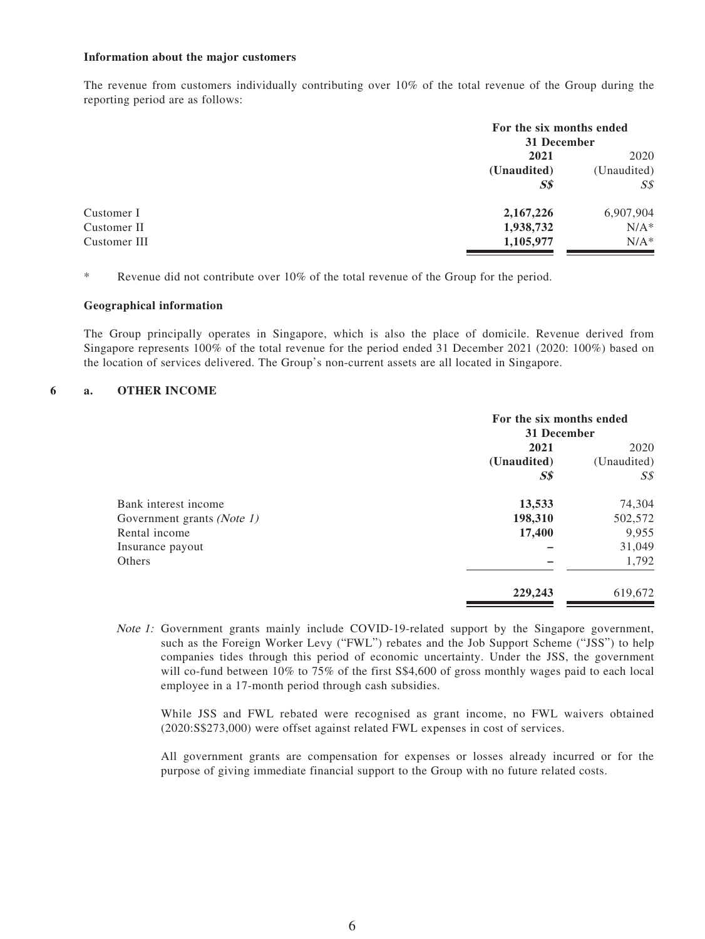#### **Information about the major customers**

The revenue from customers individually contributing over 10% of the total revenue of the Group during the reporting period are as follows:

| For the six months ended<br>31 December |             |
|-----------------------------------------|-------------|
| 2021                                    | 2020        |
| (Unaudited)                             | (Unaudited) |
| S <sub>s</sub>                          | S\$         |
| 2,167,226                               | 6,907,904   |
| 1,938,732                               | $N/A^*$     |
| 1,105,977                               | $N/A^*$     |
|                                         |             |

\* Revenue did not contribute over 10% of the total revenue of the Group for the period.

#### **Geographical information**

The Group principally operates in Singapore, which is also the place of domicile. Revenue derived from Singapore represents 100% of the total revenue for the period ended 31 December 2021 (2020: 100%) based on the location of services delivered. The Group's non-current assets are all located in Singapore.

#### **6 a. OTHER INCOME**

|                            | For the six months ended<br>31 December |                     |
|----------------------------|-----------------------------------------|---------------------|
|                            | 2021                                    | 2020<br>(Unaudited) |
|                            | (Unaudited)                             |                     |
|                            | S <sub>s</sub>                          | S\$                 |
| Bank interest income       | 13,533                                  | 74,304              |
| Government grants (Note 1) | 198,310                                 | 502,572             |
| Rental income              | 17,400                                  | 9,955               |
| Insurance payout           |                                         | 31,049              |
| Others                     |                                         | 1,792               |
|                            | 229,243                                 | 619,672             |

Note 1: Government grants mainly include COVID-19-related support by the Singapore government, such as the Foreign Worker Levy ("FWL") rebates and the Job Support Scheme ("JSS") to help companies tides through this period of economic uncertainty. Under the JSS, the government will co-fund between 10% to 75% of the first S\$4,600 of gross monthly wages paid to each local employee in a 17-month period through cash subsidies.

While JSS and FWL rebated were recognised as grant income, no FWL waivers obtained (2020:S\$273,000) were offset against related FWL expenses in cost of services.

All government grants are compensation for expenses or losses already incurred or for the purpose of giving immediate financial support to the Group with no future related costs.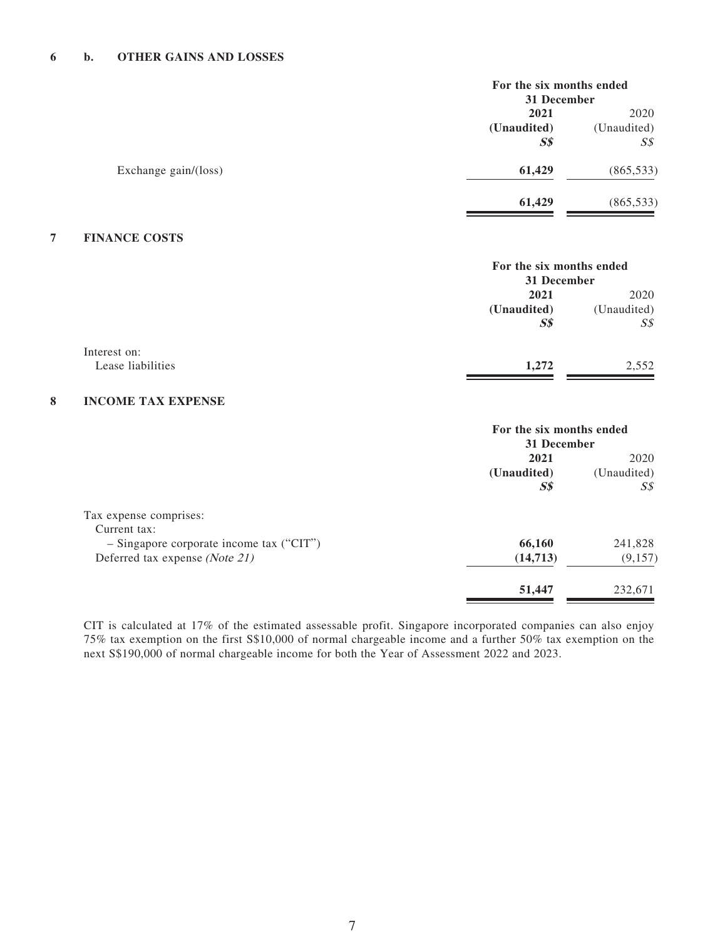#### **6 b. OTHER GAINS AND LOSSES**

| For the six months ended<br>31 December |                |
|-----------------------------------------|----------------|
| 2021                                    | 2020           |
| (Unaudited)                             | (Unaudited)    |
| S <sub>s</sub>                          | $S\mathcal{S}$ |
| 61,429                                  | (865, 533)     |
| 61,429                                  | (865, 533)     |
|                                         |                |

### **7 FINANCE COSTS**

|                   |                | For the six months ended<br>31 December |  |
|-------------------|----------------|-----------------------------------------|--|
|                   | 2021           | 2020                                    |  |
|                   | (Unaudited)    | (Unaudited)                             |  |
|                   | S <sub>s</sub> | S <sub>s</sub>                          |  |
| Interest on:      |                |                                         |  |
| Lease liabilities | 1,272          | 2,552                                   |  |
|                   |                |                                         |  |

### **8 INCOME TAX EXPENSE**

|                                            | For the six months ended<br>31 December |             |
|--------------------------------------------|-----------------------------------------|-------------|
|                                            | 2021                                    | 2020        |
|                                            | (Unaudited)                             | (Unaudited) |
|                                            | S <sub>s</sub>                          | S\$         |
| Tax expense comprises:                     |                                         |             |
| Current tax:                               |                                         |             |
| $-$ Singapore corporate income tax ("CIT") | 66,160                                  | 241,828     |
| Deferred tax expense (Note 21)             | (14,713)                                | (9,157)     |
|                                            | 51,447                                  | 232.671     |

CIT is calculated at 17% of the estimated assessable profit. Singapore incorporated companies can also enjoy 75% tax exemption on the first S\$10,000 of normal chargeable income and a further 50% tax exemption on the next S\$190,000 of normal chargeable income for both the Year of Assessment 2022 and 2023.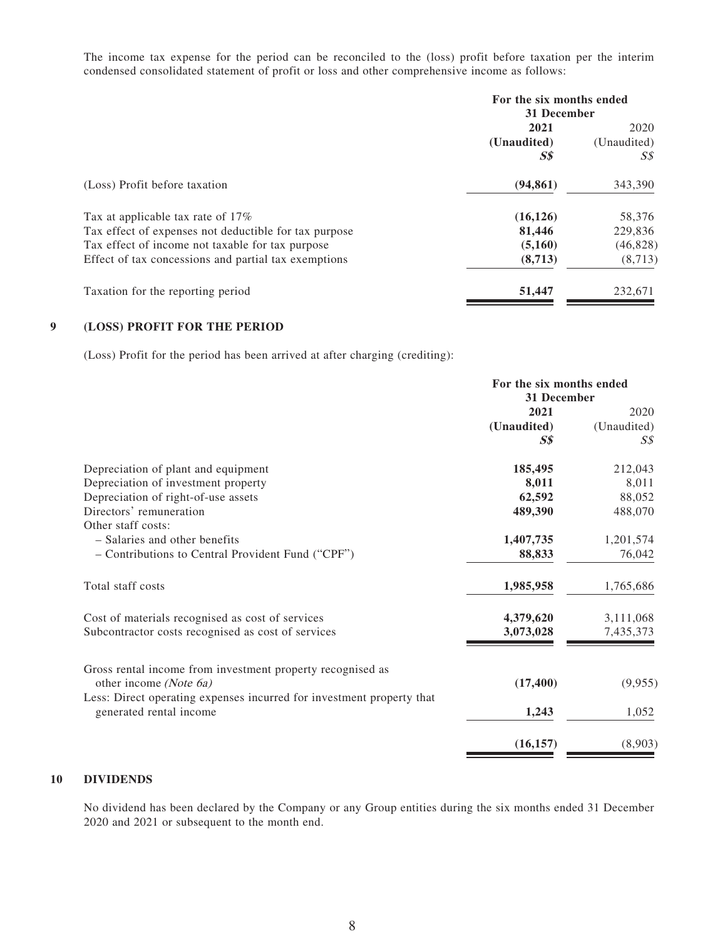The income tax expense for the period can be reconciled to the (loss) profit before taxation per the interim condensed consolidated statement of profit or loss and other comprehensive income as follows:

|                                                       | For the six months ended<br>31 December |             |
|-------------------------------------------------------|-----------------------------------------|-------------|
|                                                       | 2021                                    |             |
|                                                       | (Unaudited)                             | (Unaudited) |
|                                                       | S <sub>s</sub>                          | S\$         |
| (Loss) Profit before taxation                         | (94, 861)                               | 343,390     |
| Tax at applicable tax rate of 17%                     | (16, 126)                               | 58,376      |
| Tax effect of expenses not deductible for tax purpose | 81,446                                  | 229,836     |
| Tax effect of income not taxable for tax purpose      | (5,160)                                 | (46, 828)   |
| Effect of tax concessions and partial tax exemptions  | (8,713)                                 | (8,713)     |
| Taxation for the reporting period                     | 51,447                                  | 232.671     |

#### **9 (LOSS) PROFIT FOR THE PERIOD**

(Loss) Profit for the period has been arrived at after charging (crediting):

| For the six months ended<br>31 December |                                     |
|-----------------------------------------|-------------------------------------|
|                                         |                                     |
| (Unaudited)                             | (Unaudited)                         |
| S <sub>s</sub>                          | $S\mathcal{S}$                      |
| 185,495                                 | 212,043                             |
| 8,011                                   | 8,011                               |
| 62,592                                  | 88,052                              |
| 489,390                                 | 488,070                             |
|                                         |                                     |
| 1,407,735                               | 1,201,574                           |
| 88,833                                  | 76,042                              |
| 1,985,958                               | 1,765,686                           |
|                                         | 3,111,068                           |
| 3,073,028                               | 7,435,373                           |
|                                         |                                     |
|                                         | (9,955)                             |
|                                         |                                     |
| 1,243                                   | 1,052                               |
|                                         | (8,903)                             |
|                                         | 4,379,620<br>(17, 400)<br>(16, 157) |

### **10 DIVIDENDS**

No dividend has been declared by the Company or any Group entities during the six months ended 31 December 2020 and 2021 or subsequent to the month end.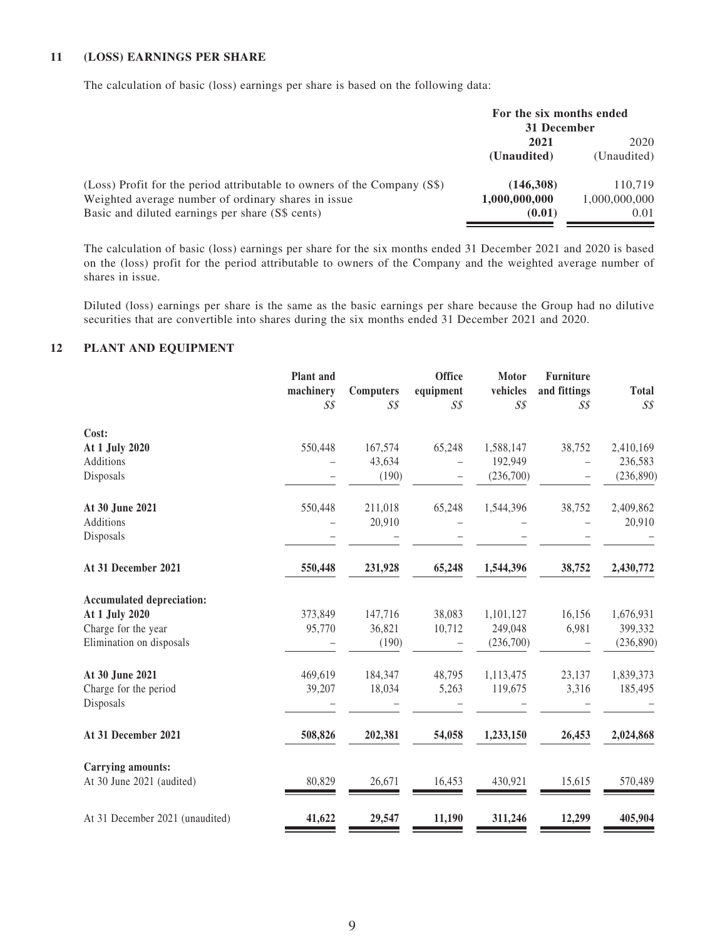#### **11 (LOSS) EARNINGS PER SHARE**

The calculation of basic (loss) earnings per share is based on the following data:

|                                                                          | For the six months ended<br>31 December |               |  |
|--------------------------------------------------------------------------|-----------------------------------------|---------------|--|
|                                                                          | 2021                                    | 2020          |  |
|                                                                          | (Unaudited)                             | (Unaudited)   |  |
| (Loss) Profit for the period attributable to owners of the Company (S\$) | (146,308)                               | 110.719       |  |
| Weighted average number of ordinary shares in issue                      | 1,000,000,000                           | 1,000,000,000 |  |
| Basic and diluted earnings per share (S\$ cents)                         | (0.01)                                  | 0.01          |  |

The calculation of basic (loss) earnings per share for the six months ended 31 December 2021 and 2020 is based on the (loss) profit for the period attributable to owners of the Company and the weighted average number of shares in issue.

Diluted (loss) earnings per share is the same as the basic earnings per share because the Group had no dilutive securities that are convertible into shares during the six months ended 31 December 2021 and 2020.

#### **12 PLANT AND EQUIPMENT**

|                                  | Plant and<br>machinery<br>$S\mathcal{S}$ | <b>Computers</b><br>$S\mathcal{S}$ | <b>Office</b><br>equipment<br>$S\mathcal{S}$ | <b>Motor</b><br>vehicles<br>$S\mathcal{S}$ | <b>Furniture</b><br>and fittings<br>$S\mathcal{S}$ | <b>Total</b><br>$S\mathcal{S}$ |
|----------------------------------|------------------------------------------|------------------------------------|----------------------------------------------|--------------------------------------------|----------------------------------------------------|--------------------------------|
| Cost:                            |                                          |                                    |                                              |                                            |                                                    |                                |
| At 1 July 2020                   | 550,448                                  | 167,574                            | 65,248                                       | 1,588,147                                  | 38,752                                             | 2,410,169                      |
| Additions                        |                                          | 43,634                             |                                              | 192,949                                    |                                                    | 236,583                        |
| Disposals                        |                                          | (190)                              |                                              | (236,700)                                  |                                                    | (236, 890)                     |
| At 30 June 2021                  | 550,448                                  | 211,018                            | 65,248                                       | 1,544,396                                  | 38,752                                             | 2,409,862                      |
| Additions                        |                                          | 20,910                             |                                              |                                            |                                                    | 20,910                         |
| Disposals                        |                                          |                                    |                                              |                                            |                                                    |                                |
| At 31 December 2021              | 550,448                                  | 231,928                            | 65,248                                       | 1,544,396                                  | 38,752                                             | 2,430,772                      |
| <b>Accumulated depreciation:</b> |                                          |                                    |                                              |                                            |                                                    |                                |
| At 1 July 2020                   | 373,849                                  | 147,716                            | 38,083                                       | 1,101,127                                  | 16,156                                             | 1,676,931                      |
| Charge for the year              | 95,770                                   | 36,821                             | 10,712                                       | 249,048                                    | 6,981                                              | 399,332                        |
| Elimination on disposals         |                                          | (190)                              |                                              | (236,700)                                  |                                                    | (236, 890)                     |
| At 30 June 2021                  | 469,619                                  | 184,347                            | 48,795                                       | 1,113,475                                  | 23,137                                             | 1,839,373                      |
| Charge for the period            | 39,207                                   | 18,034                             | 5,263                                        | 119,675                                    | 3,316                                              | 185,495                        |
| Disposals                        |                                          |                                    |                                              |                                            |                                                    |                                |
| At 31 December 2021              | 508,826                                  | 202,381                            | 54,058                                       | 1,233,150                                  | 26,453                                             | 2,024,868                      |
| <b>Carrying amounts:</b>         |                                          |                                    |                                              |                                            |                                                    |                                |
| At 30 June 2021 (audited)        | 80,829                                   | 26,671                             | 16,453                                       | 430,921                                    | 15,615                                             | 570,489                        |
| At 31 December 2021 (unaudited)  | 41,622                                   | 29,547                             | 11,190                                       | 311,246                                    | 12,299                                             | 405,904                        |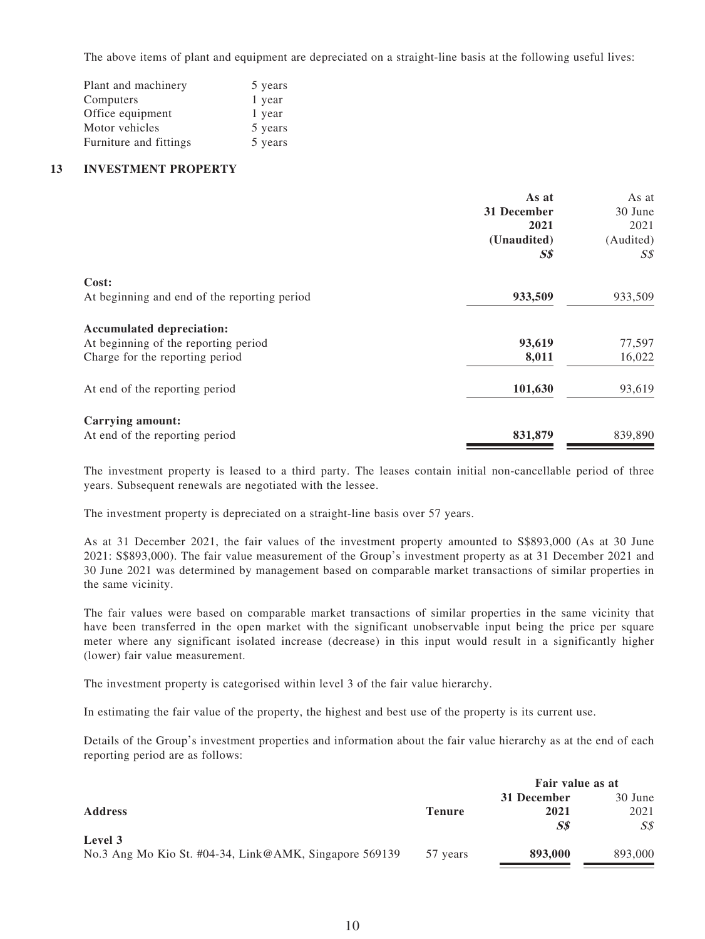The above items of plant and equipment are depreciated on a straight-line basis at the following useful lives:

| Plant and machinery    | 5 years |
|------------------------|---------|
| Computers              | 1 year  |
| Office equipment       | 1 year  |
| Motor vehicles         | 5 years |
| Furniture and fittings | 5 years |

#### **13 INVESTMENT PROPERTY**

|                                              | As at       | As at          |
|----------------------------------------------|-------------|----------------|
|                                              | 31 December | 30 June        |
|                                              | 2021        | 2021           |
|                                              | (Unaudited) | (Audited)      |
|                                              | $S\$        | $S\mathcal{S}$ |
| Cost:                                        |             |                |
| At beginning and end of the reporting period | 933,509     | 933,509        |
| <b>Accumulated depreciation:</b>             |             |                |
| At beginning of the reporting period         | 93,619      | 77,597         |
| Charge for the reporting period              | 8,011       | 16,022         |
| At end of the reporting period               | 101,630     | 93,619         |
| Carrying amount:                             |             |                |
| At end of the reporting period               | 831,879     | 839,890        |

The investment property is leased to a third party. The leases contain initial non-cancellable period of three years. Subsequent renewals are negotiated with the lessee.

The investment property is depreciated on a straight-line basis over 57 years.

As at 31 December 2021, the fair values of the investment property amounted to S\$893,000 (As at 30 June 2021: S\$893,000). The fair value measurement of the Group's investment property as at 31 December 2021 and 30 June 2021 was determined by management based on comparable market transactions of similar properties in the same vicinity.

The fair values were based on comparable market transactions of similar properties in the same vicinity that have been transferred in the open market with the significant unobservable input being the price per square meter where any significant isolated increase (decrease) in this input would result in a significantly higher (lower) fair value measurement.

The investment property is categorised within level 3 of the fair value hierarchy.

In estimating the fair value of the property, the highest and best use of the property is its current use.

Details of the Group's investment properties and information about the fair value hierarchy as at the end of each reporting period are as follows:

|                                                        |               | Fair value as at |                |
|--------------------------------------------------------|---------------|------------------|----------------|
|                                                        |               | 31 December      | 30 June        |
| <b>Address</b>                                         | <b>Tenure</b> | 2021             | 2021           |
|                                                        |               | S\$              | $S\mathcal{S}$ |
| Level 3                                                |               |                  |                |
| No.3 Ang Mo Kio St. #04-34, Link@AMK, Singapore 569139 | 57 years      | 893,000          | 893,000        |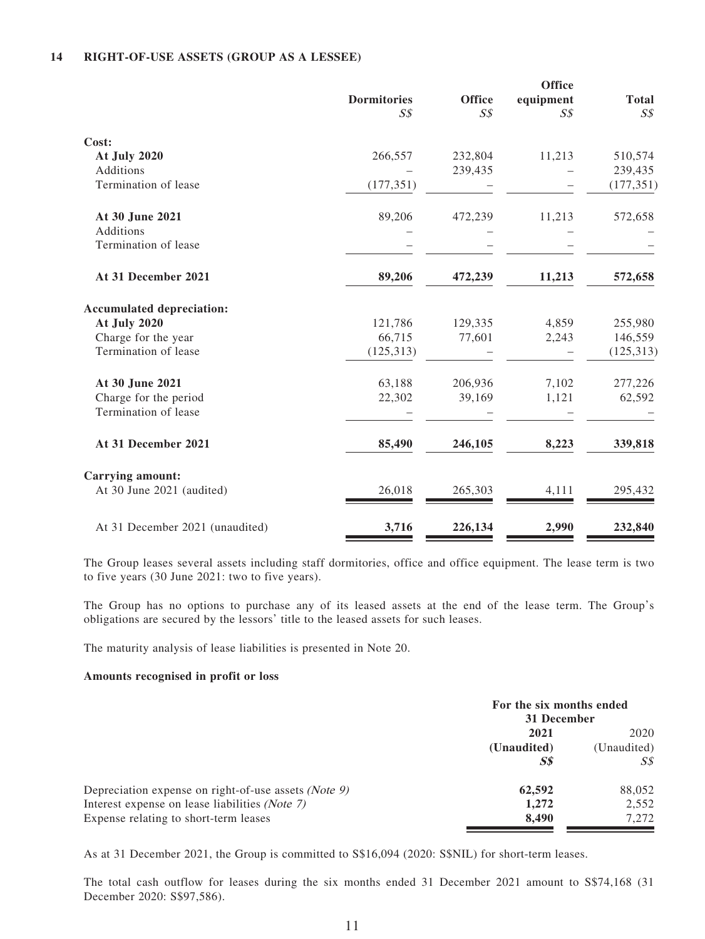#### **14 RIGHT-OF-USE ASSETS (GROUP AS A LESSEE)**

|                |                    | <b>Office</b>  | <b>Total</b>   |
|----------------|--------------------|----------------|----------------|
| $S\mathcal{S}$ | $S\mathcal{S}$     | $S\mathcal{S}$ | S <sub>s</sub> |
|                |                    |                |                |
| 266,557        | 232,804            | 11,213         | 510,574        |
|                | 239,435            |                | 239,435        |
| (177, 351)     |                    |                | (177, 351)     |
| 89,206         | 472,239            | 11,213         | 572,658        |
|                |                    |                |                |
|                |                    |                |                |
| 89,206         | 472,239            | 11,213         | 572,658        |
|                |                    |                |                |
| 121,786        | 129,335            | 4,859          | 255,980        |
| 66,715         | 77,601             | 2,243          | 146,559        |
| (125, 313)     |                    |                | (125, 313)     |
| 63,188         | 206,936            | 7,102          | 277,226        |
| 22,302         | 39,169             | 1,121          | 62,592         |
|                |                    |                |                |
| 85,490         | 246,105            | 8,223          | 339,818        |
|                |                    |                |                |
| 26,018         | 265,303            | 4,111          | 295,432        |
| 3,716          | 226,134            | 2,990          | 232,840        |
|                | <b>Dormitories</b> | <b>Office</b>  | equipment      |

The Group leases several assets including staff dormitories, office and office equipment. The lease term is two to five years (30 June 2021: two to five years).

The Group has no options to purchase any of its leased assets at the end of the lease term. The Group's obligations are secured by the lessors' title to the leased assets for such leases.

The maturity analysis of lease liabilities is presented in Note 20.

#### **Amounts recognised in profit or loss**

|                                                               | For the six months ended<br>31 December |                |
|---------------------------------------------------------------|-----------------------------------------|----------------|
|                                                               | 2021                                    | 2020           |
|                                                               | (Unaudited)                             | (Unaudited)    |
|                                                               | S <sub>s</sub>                          | $S\mathcal{S}$ |
| Depreciation expense on right-of-use assets ( <i>Note 9</i> ) | 62,592                                  | 88,052         |
| Interest expense on lease liabilities (Note 7)                | 1,272                                   | 2,552          |
| Expense relating to short-term leases                         | 8.490                                   | 7.272          |

As at 31 December 2021, the Group is committed to S\$16,094 (2020: S\$NIL) for short-term leases.

The total cash outflow for leases during the six months ended 31 December 2021 amount to S\$74,168 (31) December 2020: S\$97,586).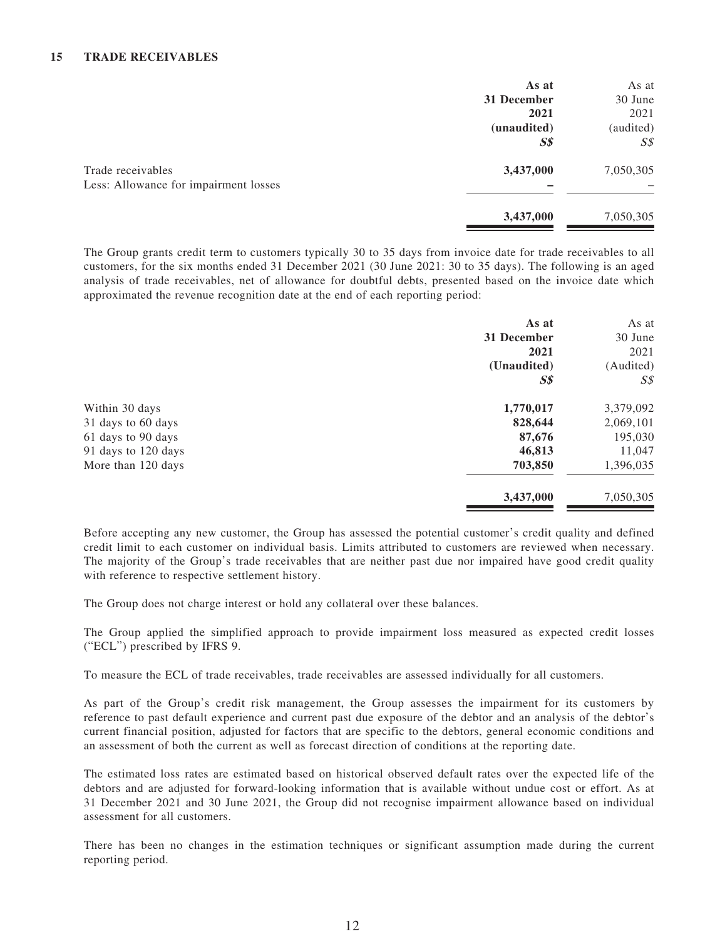|                                       | As at          | As at          |
|---------------------------------------|----------------|----------------|
|                                       | 31 December    | 30 June        |
|                                       | 2021           | 2021           |
|                                       | (unaudited)    | (audited)      |
|                                       | S <sub>s</sub> | $S\mathcal{S}$ |
| Trade receivables                     | 3,437,000      | 7,050,305      |
| Less: Allowance for impairment losses |                |                |
|                                       | 3,437,000      | 7,050,305      |

The Group grants credit term to customers typically 30 to 35 days from invoice date for trade receivables to all customers, for the six months ended 31 December 2021 (30 June 2021: 30 to 35 days). The following is an aged analysis of trade receivables, net of allowance for doubtful debts, presented based on the invoice date which approximated the revenue recognition date at the end of each reporting period:

|                     | As at<br>31 December<br>2021<br>(Unaudited)<br>S <sub>s</sub> | As at<br>30 June<br>2021<br>(Audited)<br>S\$ |
|---------------------|---------------------------------------------------------------|----------------------------------------------|
| Within 30 days      | 1,770,017                                                     | 3,379,092                                    |
| 31 days to 60 days  | 828,644                                                       | 2,069,101                                    |
| 61 days to 90 days  | 87,676                                                        | 195,030                                      |
| 91 days to 120 days | 46,813                                                        | 11,047                                       |
| More than 120 days  | 703,850                                                       | 1,396,035                                    |
|                     | 3,437,000                                                     | 7,050,305                                    |

Before accepting any new customer, the Group has assessed the potential customer's credit quality and defined credit limit to each customer on individual basis. Limits attributed to customers are reviewed when necessary. The majority of the Group's trade receivables that are neither past due nor impaired have good credit quality with reference to respective settlement history.

The Group does not charge interest or hold any collateral over these balances.

The Group applied the simplified approach to provide impairment loss measured as expected credit losses ("ECL") prescribed by IFRS 9.

To measure the ECL of trade receivables, trade receivables are assessed individually for all customers.

As part of the Group's credit risk management, the Group assesses the impairment for its customers by reference to past default experience and current past due exposure of the debtor and an analysis of the debtor's current financial position, adjusted for factors that are specific to the debtors, general economic conditions and an assessment of both the current as well as forecast direction of conditions at the reporting date.

The estimated loss rates are estimated based on historical observed default rates over the expected life of the debtors and are adjusted for forward-looking information that is available without undue cost or effort. As at 31 December 2021 and 30 June 2021, the Group did not recognise impairment allowance based on individual assessment for all customers.

There has been no changes in the estimation techniques or significant assumption made during the current reporting period.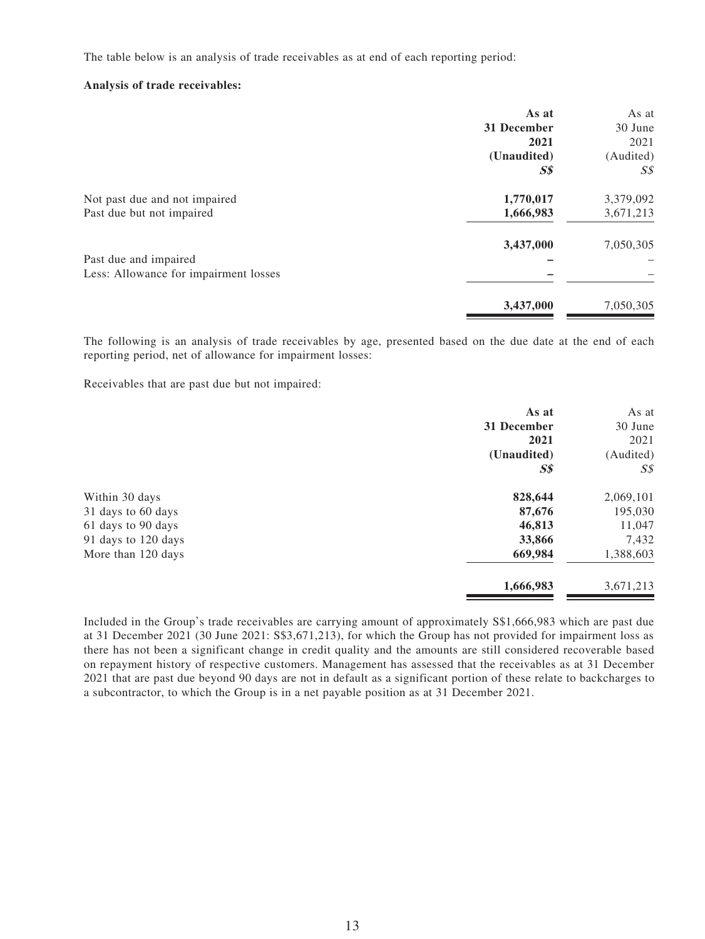The table below is an analysis of trade receivables as at end of each reporting period:

#### **Analysis of trade receivables:**

|                                       | As at          | As at     |
|---------------------------------------|----------------|-----------|
|                                       | 31 December    | 30 June   |
|                                       | 2021           | 2021      |
|                                       | (Unaudited)    | (Audited) |
|                                       | S <sub>s</sub> | S\$       |
| Not past due and not impaired         | 1,770,017      | 3,379,092 |
| Past due but not impaired             | 1,666,983      | 3,671,213 |
|                                       | 3,437,000      | 7,050,305 |
| Past due and impaired                 |                |           |
| Less: Allowance for impairment losses |                |           |
|                                       | 3,437,000      | 7,050,305 |
|                                       |                |           |

The following is an analysis of trade receivables by age, presented based on the due date at the end of each reporting period, net of allowance for impairment losses:

Receivables that are past due but not impaired:

| As at          | As at          |
|----------------|----------------|
| 31 December    | 30 June        |
| 2021           | 2021           |
| (Unaudited)    | (Audited)      |
| S <sub>s</sub> | $S\mathcal{S}$ |
| 828,644        | 2,069,101      |
| 87,676         | 195,030        |
| 46,813         | 11,047         |
| 33,866         | 7,432          |
| 669,984        | 1,388,603      |
| 1,666,983      | 3,671,213      |
|                |                |

Included in the Group's trade receivables are carrying amount of approximately S\$1,666,983 which are past due at 31 December 2021 (30 June 2021: S\$3,671,213), for which the Group has not provided for impairment loss as there has not been a significant change in credit quality and the amounts are still considered recoverable based on repayment history of respective customers. Management has assessed that the receivables as at 31 December 2021 that are past due beyond 90 days are not in default as a significant portion of these relate to backcharges to a subcontractor, to which the Group is in a net payable position as at 31 December 2021.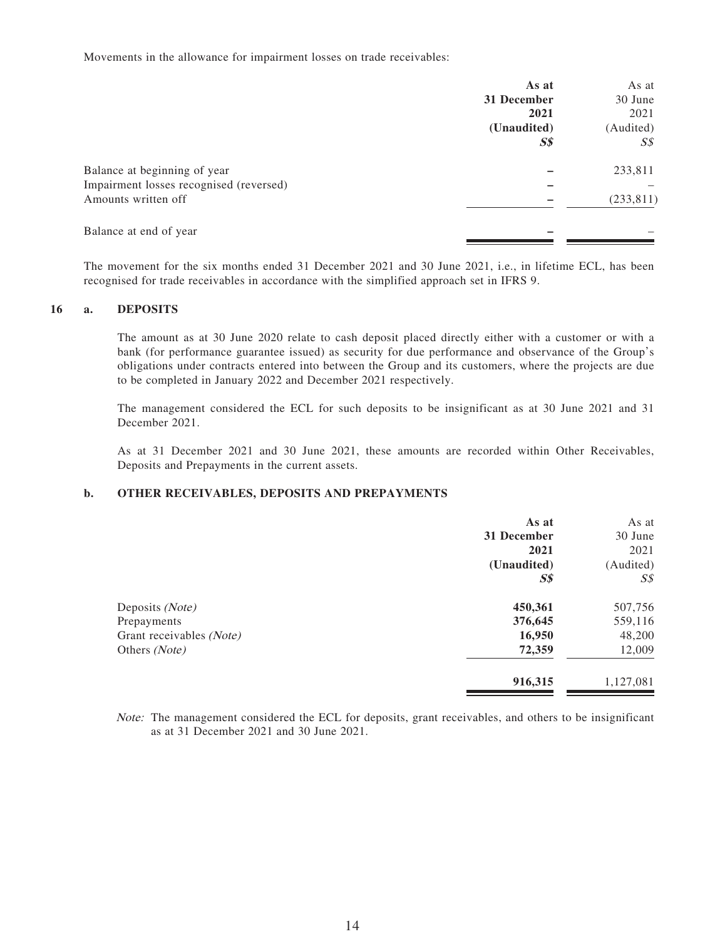Movements in the allowance for impairment losses on trade receivables:

|                                         | As at          | As at          |
|-----------------------------------------|----------------|----------------|
|                                         | 31 December    | 30 June        |
|                                         | 2021           | 2021           |
|                                         | (Unaudited)    | (Audited)      |
|                                         | S <sub>s</sub> | $S\mathcal{S}$ |
| Balance at beginning of year            |                | 233,811        |
| Impairment losses recognised (reversed) |                |                |
| Amounts written off                     |                | (233, 811)     |
| Balance at end of year                  |                |                |

The movement for the six months ended 31 December 2021 and 30 June 2021, i.e., in lifetime ECL, has been recognised for trade receivables in accordance with the simplified approach set in IFRS 9.

#### **16 a. DEPOSITS**

The amount as at 30 June 2020 relate to cash deposit placed directly either with a customer or with a bank (for performance guarantee issued) as security for due performance and observance of the Group's obligations under contracts entered into between the Group and its customers, where the projects are due to be completed in January 2022 and December 2021 respectively.

The management considered the ECL for such deposits to be insignificant as at 30 June 2021 and 31 December 2021.

As at 31 December 2021 and 30 June 2021, these amounts are recorded within Other Receivables, Deposits and Prepayments in the current assets.

#### **b. OTHER RECEIVABLES, DEPOSITS AND PREPAYMENTS**

|                          | As at          | As at          |
|--------------------------|----------------|----------------|
|                          | 31 December    | 30 June        |
|                          | 2021           | 2021           |
|                          | (Unaudited)    | (Audited)      |
|                          | S <sub>s</sub> | $S\mathcal{S}$ |
| Deposits (Note)          | 450,361        | 507,756        |
| Prepayments              | 376,645        | 559,116        |
| Grant receivables (Note) | 16,950         | 48,200         |
| Others (Note)            | 72,359         | 12,009         |
|                          | 916,315        | 1,127,081      |

Note: The management considered the ECL for deposits, grant receivables, and others to be insignificant as at 31 December 2021 and 30 June 2021.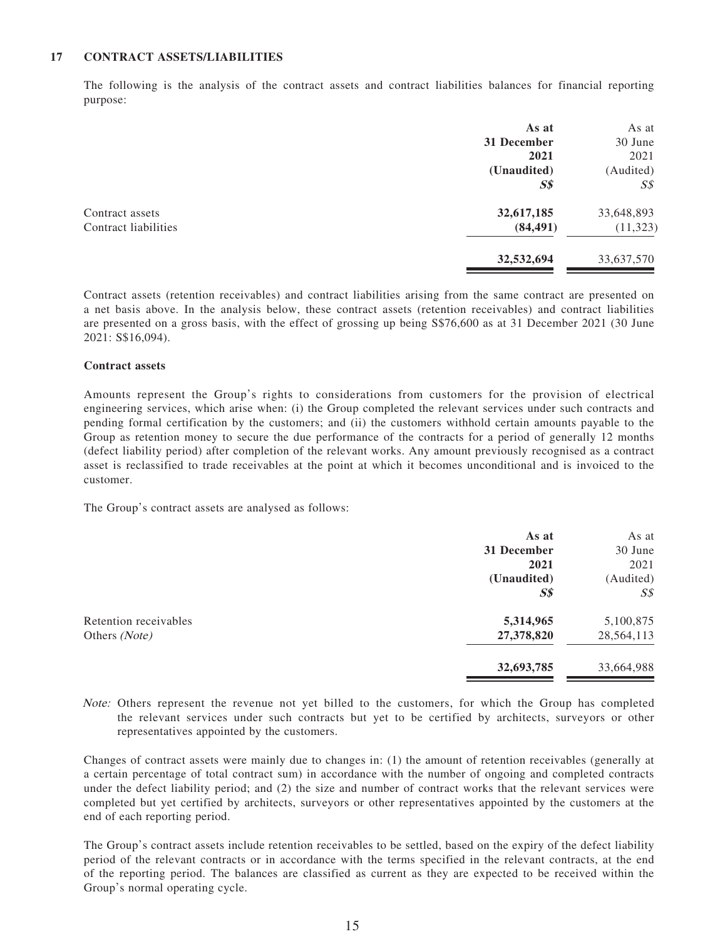#### **17 CONTRACT ASSETS/LIABILITIES**

The following is the analysis of the contract assets and contract liabilities balances for financial reporting purpose:

|                      | As at          | As at          |
|----------------------|----------------|----------------|
|                      | 31 December    | 30 June        |
|                      | 2021           | 2021           |
|                      | (Unaudited)    | (Audited)      |
|                      | S <sub>s</sub> | $S\mathcal{S}$ |
| Contract assets      | 32,617,185     | 33,648,893     |
| Contract liabilities | (84, 491)      | (11, 323)      |
|                      | 32,532,694     | 33,637,570     |

Contract assets (retention receivables) and contract liabilities arising from the same contract are presented on a net basis above. In the analysis below, these contract assets (retention receivables) and contract liabilities are presented on a gross basis, with the effect of grossing up being S\$76,600 as at 31 December 2021 (30 June 2021: S\$16,094).

#### **Contract assets**

Amounts represent the Group's rights to considerations from customers for the provision of electrical engineering services, which arise when: (i) the Group completed the relevant services under such contracts and pending formal certification by the customers; and (ii) the customers withhold certain amounts payable to the Group as retention money to secure the due performance of the contracts for a period of generally 12 months (defect liability period) after completion of the relevant works. Any amount previously recognised as a contract asset is reclassified to trade receivables at the point at which it becomes unconditional and is invoiced to the customer.

The Group's contract assets are analysed as follows:

|                       | As at          | As at          |
|-----------------------|----------------|----------------|
|                       | 31 December    | 30 June        |
|                       | 2021           | 2021           |
|                       | (Unaudited)    | (Audited)      |
|                       | S <sub>s</sub> | $S\mathcal{S}$ |
| Retention receivables | 5,314,965      | 5,100,875      |
| Others (Note)         | 27,378,820     | 28,564,113     |
|                       | 32,693,785     | 33,664,988     |

Note: Others represent the revenue not yet billed to the customers, for which the Group has completed the relevant services under such contracts but yet to be certified by architects, surveyors or other representatives appointed by the customers.

Changes of contract assets were mainly due to changes in: (1) the amount of retention receivables (generally at a certain percentage of total contract sum) in accordance with the number of ongoing and completed contracts under the defect liability period; and (2) the size and number of contract works that the relevant services were completed but yet certified by architects, surveyors or other representatives appointed by the customers at the end of each reporting period.

The Group's contract assets include retention receivables to be settled, based on the expiry of the defect liability period of the relevant contracts or in accordance with the terms specified in the relevant contracts, at the end of the reporting period. The balances are classified as current as they are expected to be received within the Group's normal operating cycle.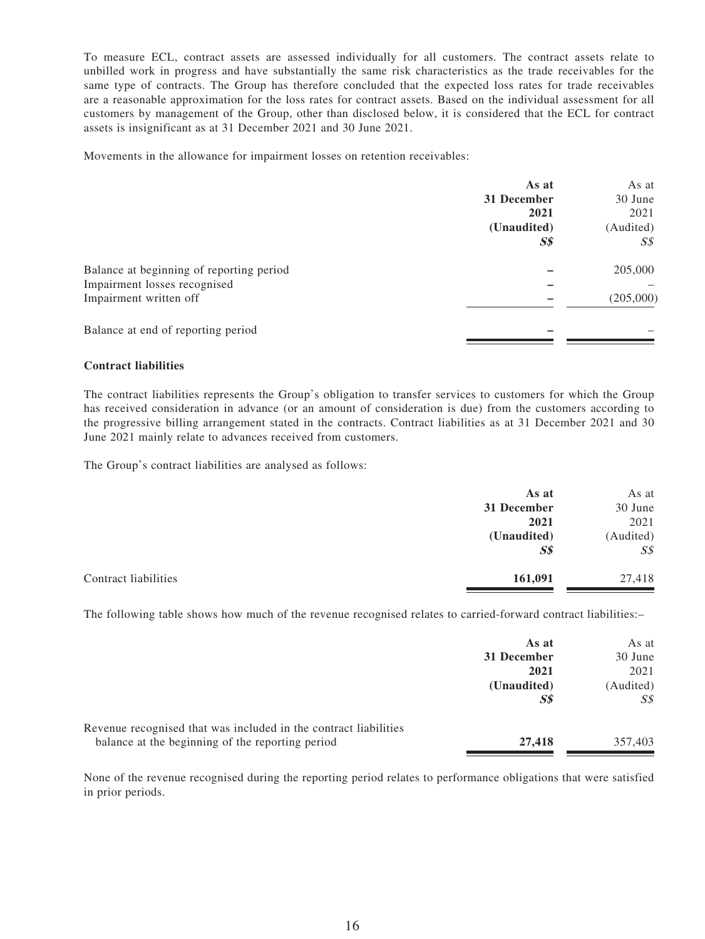To measure ECL, contract assets are assessed individually for all customers. The contract assets relate to unbilled work in progress and have substantially the same risk characteristics as the trade receivables for the same type of contracts. The Group has therefore concluded that the expected loss rates for trade receivables are a reasonable approximation for the loss rates for contract assets. Based on the individual assessment for all customers by management of the Group, other than disclosed below, it is considered that the ECL for contract assets is insignificant as at 31 December 2021 and 30 June 2021.

Movements in the allowance for impairment losses on retention receivables:

|                                          | As at          | As at          |
|------------------------------------------|----------------|----------------|
|                                          | 31 December    | 30 June        |
|                                          | 2021           | 2021           |
|                                          | (Unaudited)    | (Audited)      |
|                                          | S <sub>s</sub> | $S\mathcal{S}$ |
| Balance at beginning of reporting period |                | 205,000        |
| Impairment losses recognised             |                |                |
| Impairment written off                   |                | (205,000)      |
| Balance at end of reporting period       |                |                |
|                                          |                |                |

#### **Contract liabilities**

The contract liabilities represents the Group's obligation to transfer services to customers for which the Group has received consideration in advance (or an amount of consideration is due) from the customers according to the progressive billing arrangement stated in the contracts. Contract liabilities as at 31 December 2021 and 30 June 2021 mainly relate to advances received from customers.

The Group's contract liabilities are analysed as follows:

|                      | As at          | As at          |
|----------------------|----------------|----------------|
|                      | 31 December    | 30 June        |
|                      | 2021           | 2021           |
|                      | (Unaudited)    | (Audited)      |
|                      | S <sub>s</sub> | $S\mathcal{S}$ |
| Contract liabilities | 161,091        | 27,418         |

The following table shows how much of the revenue recognised relates to carried-forward contract liabilities:–

|                                                                  | As at       | As at     |
|------------------------------------------------------------------|-------------|-----------|
|                                                                  | 31 December | 30 June   |
|                                                                  | 2021        | 2021      |
|                                                                  | (Unaudited) | (Audited) |
|                                                                  | <b>S\$</b>  | SS        |
| Revenue recognised that was included in the contract liabilities |             |           |
| balance at the beginning of the reporting period                 | 27,418      | 357,403   |

None of the revenue recognised during the reporting period relates to performance obligations that were satisfied in prior periods.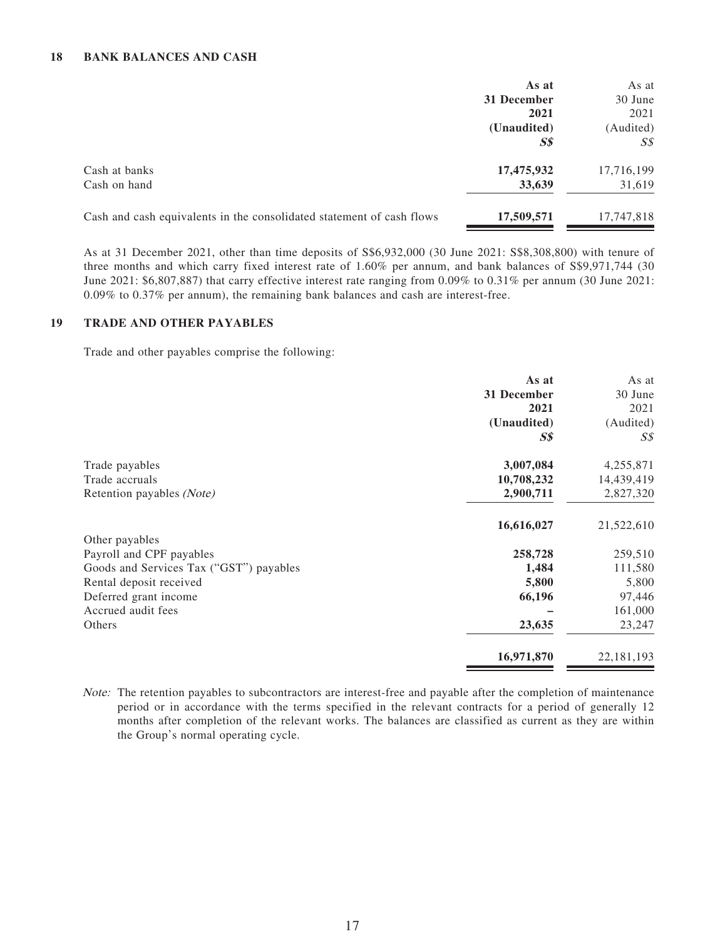|                                                                       | As at          | As at      |
|-----------------------------------------------------------------------|----------------|------------|
|                                                                       | 31 December    | 30 June    |
|                                                                       | 2021           | 2021       |
|                                                                       | (Unaudited)    | (Audited)  |
|                                                                       | S <sub>s</sub> |            |
| Cash at banks                                                         | 17,475,932     | 17,716,199 |
| Cash on hand                                                          | 33,639         | 31,619     |
| Cash and cash equivalents in the consolidated statement of cash flows | 17,509,571     | 17,747,818 |

As at 31 December 2021, other than time deposits of S\$6,932,000 (30 June 2021: S\$8,308,800) with tenure of three months and which carry fixed interest rate of 1.60% per annum, and bank balances of S\$9,971,744 (30 June 2021: \$6,807,887) that carry effective interest rate ranging from 0.09% to 0.31% per annum (30 June 2021: 0.09% to 0.37% per annum), the remaining bank balances and cash are interest-free.

#### **19 TRADE AND OTHER PAYABLES**

Trade and other payables comprise the following:

|                                         | As at          | As at          |
|-----------------------------------------|----------------|----------------|
|                                         | 31 December    | 30 June        |
|                                         | 2021           | 2021           |
|                                         | (Unaudited)    | (Audited)      |
|                                         | S <sub>s</sub> | S <sub>s</sub> |
| Trade payables                          | 3,007,084      | 4,255,871      |
| Trade accruals                          | 10,708,232     | 14,439,419     |
| Retention payables (Note)               | 2,900,711      | 2,827,320      |
|                                         | 16,616,027     | 21,522,610     |
| Other payables                          |                |                |
| Payroll and CPF payables                | 258,728        | 259,510        |
| Goods and Services Tax ("GST") payables | 1,484          | 111,580        |
| Rental deposit received                 | 5,800          | 5,800          |
| Deferred grant income                   | 66,196         | 97,446         |
| Accrued audit fees                      |                | 161,000        |
| Others                                  | 23,635         | 23,247         |
|                                         | 16,971,870     | 22, 181, 193   |

Note: The retention payables to subcontractors are interest-free and payable after the completion of maintenance period or in accordance with the terms specified in the relevant contracts for a period of generally 12 months after completion of the relevant works. The balances are classified as current as they are within the Group's normal operating cycle.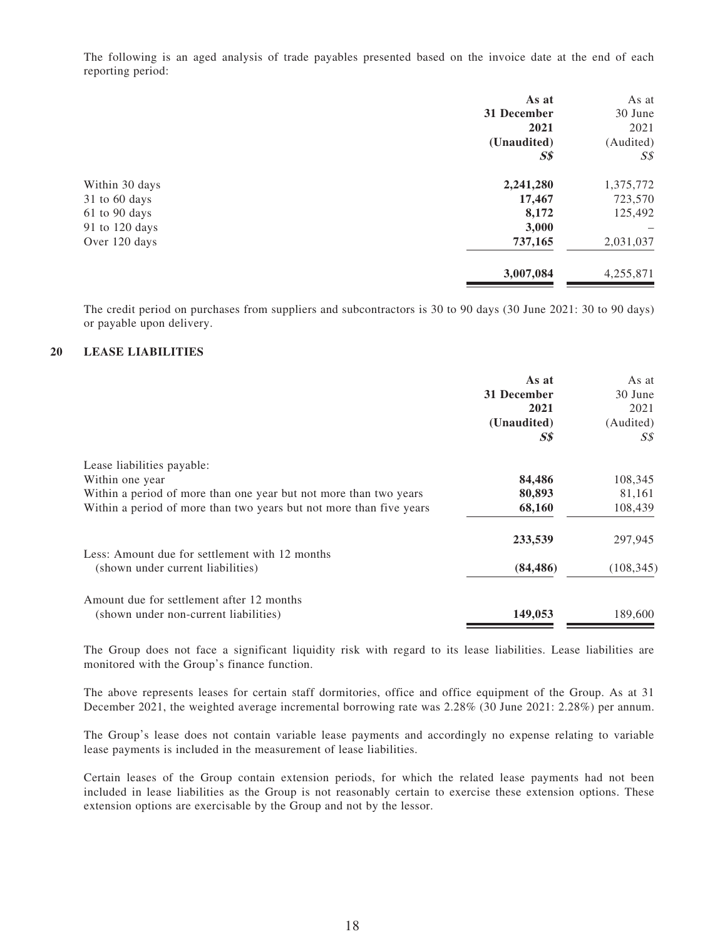The following is an aged analysis of trade payables presented based on the invoice date at the end of each reporting period:

|                | As at          | As at          |
|----------------|----------------|----------------|
|                | 31 December    | 30 June        |
|                | 2021           | 2021           |
|                | (Unaudited)    | (Audited)      |
|                | S <sub>s</sub> | $S\mathcal{S}$ |
| Within 30 days | 2,241,280      | 1,375,772      |
| 31 to 60 days  | 17,467         | 723,570        |
| 61 to 90 days  | 8,172          | 125,492        |
| 91 to 120 days | 3,000          |                |
| Over 120 days  | 737,165        | 2,031,037      |
|                | 3,007,084      | 4,255,871      |
|                |                |                |

The credit period on purchases from suppliers and subcontractors is 30 to 90 days (30 June 2021: 30 to 90 days) or payable upon delivery.

#### **20 LEASE LIABILITIES**

|                                                                     | As at<br>31 December<br>2021<br>(Unaudited) | As at<br>30 June<br>2021<br>(Audited) |
|---------------------------------------------------------------------|---------------------------------------------|---------------------------------------|
|                                                                     | S\$                                         | S\$                                   |
| Lease liabilities payable:                                          |                                             |                                       |
| Within one year                                                     | 84,486                                      | 108,345                               |
| Within a period of more than one year but not more than two years   | 80,893                                      | 81,161                                |
| Within a period of more than two years but not more than five years | 68,160                                      | 108,439                               |
|                                                                     | 233,539                                     | 297,945                               |
| Less: Amount due for settlement with 12 months                      |                                             |                                       |
| (shown under current liabilities)                                   | (84, 486)                                   | (108, 345)                            |
| Amount due for settlement after 12 months                           |                                             |                                       |
| (shown under non-current liabilities)                               | 149,053                                     | 189,600                               |

The Group does not face a significant liquidity risk with regard to its lease liabilities. Lease liabilities are monitored with the Group's finance function.

The above represents leases for certain staff dormitories, office and office equipment of the Group. As at 31 December 2021, the weighted average incremental borrowing rate was 2.28% (30 June 2021: 2.28%) per annum.

The Group's lease does not contain variable lease payments and accordingly no expense relating to variable lease payments is included in the measurement of lease liabilities.

Certain leases of the Group contain extension periods, for which the related lease payments had not been included in lease liabilities as the Group is not reasonably certain to exercise these extension options. These extension options are exercisable by the Group and not by the lessor.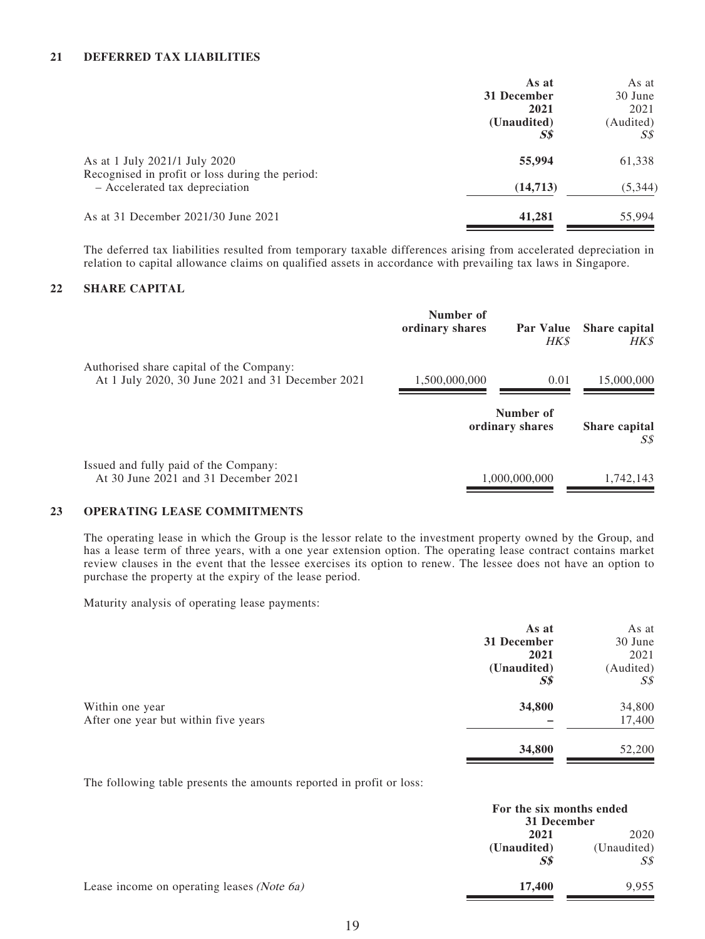#### **21 DEFERRED TAX LIABILITIES**

|                                                                                  | As at          | As at     |
|----------------------------------------------------------------------------------|----------------|-----------|
|                                                                                  | 31 December    | 30 June   |
|                                                                                  | 2021           | 2021      |
|                                                                                  | (Unaudited)    | (Audited) |
|                                                                                  | S <sub>s</sub> | S\$       |
| As at 1 July 2021/1 July 2020<br>Recognised in profit or loss during the period: | 55,994         | 61,338    |
| - Accelerated tax depreciation                                                   | (14, 713)      | (5, 344)  |
| As at 31 December 2021/30 June 2021                                              | 41,281         | 55,994    |

The deferred tax liabilities resulted from temporary taxable differences arising from accelerated depreciation in relation to capital allowance claims on qualified assets in accordance with prevailing tax laws in Singapore.

#### **22 SHARE CAPITAL**

|                                                                                               | Number of<br>ordinary shares | Par Value<br><b>HK\$</b>     | <b>Share capital</b><br><b>HK\$</b> |
|-----------------------------------------------------------------------------------------------|------------------------------|------------------------------|-------------------------------------|
| Authorised share capital of the Company:<br>At 1 July 2020, 30 June 2021 and 31 December 2021 | 1,500,000,000                | 0.01                         | 15,000,000                          |
|                                                                                               |                              | Number of<br>ordinary shares | <b>Share capital</b><br>S\$         |
| Issued and fully paid of the Company:<br>At 30 June 2021 and 31 December 2021                 |                              | 1,000,000,000                | 1,742,143                           |

#### **23 OPERATING LEASE COMMITMENTS**

The operating lease in which the Group is the lessor relate to the investment property owned by the Group, and has a lease term of three years, with a one year extension option. The operating lease contract contains market review clauses in the event that the lessee exercises its option to renew. The lessee does not have an option to purchase the property at the expiry of the lease period.

Maturity analysis of operating lease payments:

|                                      | As at          | As at          |
|--------------------------------------|----------------|----------------|
|                                      | 31 December    | 30 June        |
|                                      | 2021           | 2021           |
|                                      | (Unaudited)    | (Audited)      |
|                                      | S <sub>s</sub> | $S\mathcal{S}$ |
| Within one year                      | 34,800         | 34,800         |
| After one year but within five years |                | 17,400         |
|                                      | 34,800         | 52,200         |

The following table presents the amounts reported in profit or loss:

|                                            | For the six months ended<br>31 December |                     |
|--------------------------------------------|-----------------------------------------|---------------------|
|                                            | 2021<br>(Unaudited)                     | 2020<br>(Unaudited) |
|                                            | $S\$                                    | SS                  |
| Lease income on operating leases (Note 6a) | 17.400                                  | 9.955               |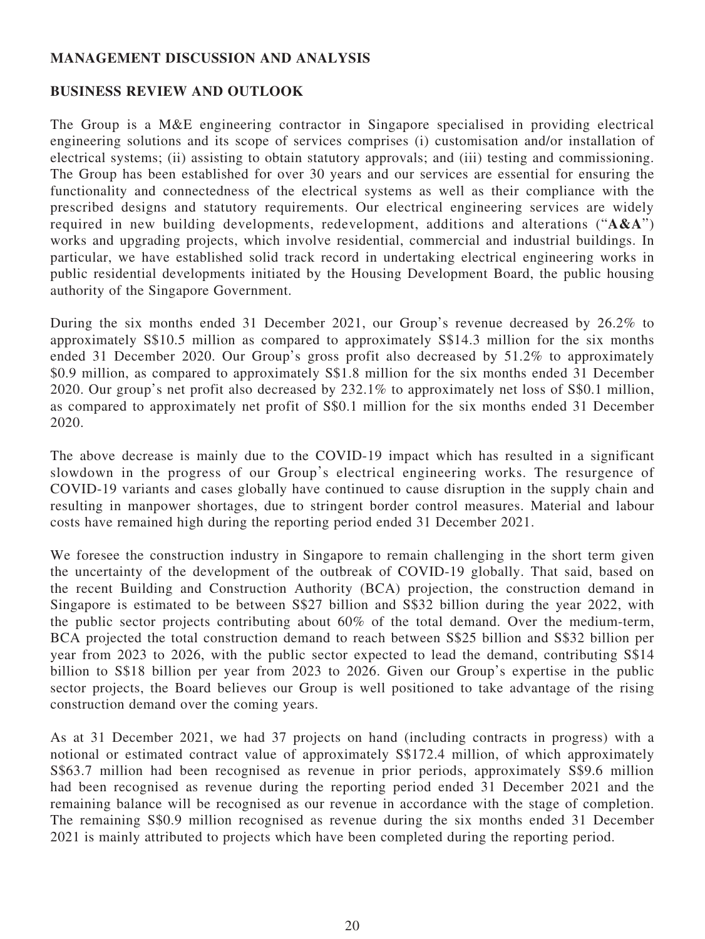## **MANAGEMENT DISCUSSION AND ANALYSIS**

### **BUSINESS REVIEW AND OUTLOOK**

The Group is a M&E engineering contractor in Singapore specialised in providing electrical engineering solutions and its scope of services comprises (i) customisation and/or installation of electrical systems; (ii) assisting to obtain statutory approvals; and (iii) testing and commissioning. The Group has been established for over 30 years and our services are essential for ensuring the functionality and connectedness of the electrical systems as well as their compliance with the prescribed designs and statutory requirements. Our electrical engineering services are widely required in new building developments, redevelopment, additions and alterations ("**A&A**") works and upgrading projects, which involve residential, commercial and industrial buildings. In particular, we have established solid track record in undertaking electrical engineering works in public residential developments initiated by the Housing Development Board, the public housing authority of the Singapore Government.

During the six months ended 31 December 2021, our Group's revenue decreased by 26.2% to approximately S\$10.5 million as compared to approximately S\$14.3 million for the six months ended 31 December 2020. Our Group's gross profit also decreased by 51.2% to approximately \$0.9 million, as compared to approximately S\$1.8 million for the six months ended 31 December 2020. Our group's net profit also decreased by 232.1% to approximately net loss of S\$0.1 million, as compared to approximately net profit of S\$0.1 million for the six months ended 31 December 2020.

The above decrease is mainly due to the COVID-19 impact which has resulted in a significant slowdown in the progress of our Group's electrical engineering works. The resurgence of COVID-19 variants and cases globally have continued to cause disruption in the supply chain and resulting in manpower shortages, due to stringent border control measures. Material and labour costs have remained high during the reporting period ended 31 December 2021.

We foresee the construction industry in Singapore to remain challenging in the short term given the uncertainty of the development of the outbreak of COVID-19 globally. That said, based on the recent Building and Construction Authority (BCA) projection, the construction demand in Singapore is estimated to be between S\$27 billion and S\$32 billion during the year 2022, with the public sector projects contributing about 60% of the total demand. Over the medium-term, BCA projected the total construction demand to reach between S\$25 billion and S\$32 billion per year from 2023 to 2026, with the public sector expected to lead the demand, contributing S\$14 billion to S\$18 billion per year from 2023 to 2026. Given our Group's expertise in the public sector projects, the Board believes our Group is well positioned to take advantage of the rising construction demand over the coming years.

As at 31 December 2021, we had 37 projects on hand (including contracts in progress) with a notional or estimated contract value of approximately S\$172.4 million, of which approximately S\$63.7 million had been recognised as revenue in prior periods, approximately S\$9.6 million had been recognised as revenue during the reporting period ended 31 December 2021 and the remaining balance will be recognised as our revenue in accordance with the stage of completion. The remaining S\$0.9 million recognised as revenue during the six months ended 31 December 2021 is mainly attributed to projects which have been completed during the reporting period.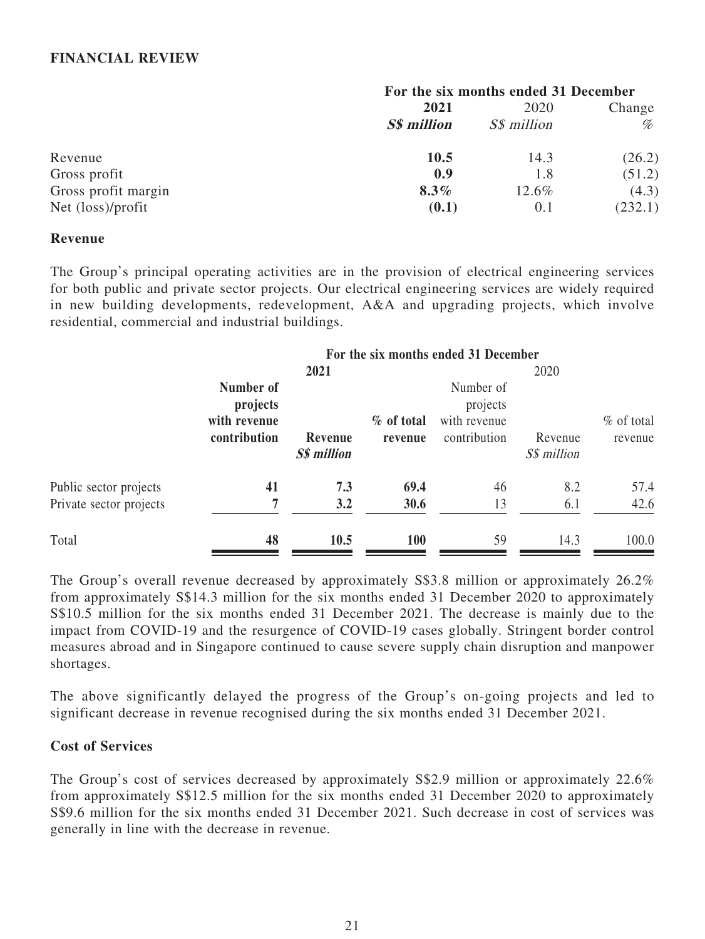### **FINANCIAL REVIEW**

|                     |                    | For the six months ended 31 December |         |
|---------------------|--------------------|--------------------------------------|---------|
|                     | 2021               |                                      | Change  |
|                     | <b>S\$</b> million | S\$ million                          | %       |
| Revenue             | 10.5               | 14.3                                 | (26.2)  |
| Gross profit        | 0.9                | 1.8                                  | (51.2)  |
| Gross profit margin | $8.3\%$            | 12.6%                                | (4.3)   |
| Net (loss)/profit   | (0.1)              | 0.1                                  | (232.1) |

### **Revenue**

The Group's principal operating activities are in the provision of electrical engineering services for both public and private sector projects. Our electrical engineering services are widely required in new building developments, redevelopment, A&A and upgrading projects, which involve residential, commercial and industrial buildings.

|                         | For the six months ended 31 December                  |                               |                       |                                                       |                        |                         |
|-------------------------|-------------------------------------------------------|-------------------------------|-----------------------|-------------------------------------------------------|------------------------|-------------------------|
|                         |                                                       | 2021                          |                       |                                                       | 2020                   |                         |
|                         | Number of<br>projects<br>with revenue<br>contribution | Revenue<br><b>S\$</b> million | % of total<br>revenue | Number of<br>projects<br>with revenue<br>contribution | Revenue<br>S\$ million | $%$ of total<br>revenue |
| Public sector projects  | 41                                                    | 7.3                           | 69.4                  | 46                                                    | 8.2                    | 57.4                    |
| Private sector projects | 7                                                     | 3.2                           | 30.6                  | 13                                                    | 6.1                    | 42.6                    |
| Total                   | 48                                                    | 10.5                          | <b>100</b>            | 59                                                    | 14.3                   | 100.0                   |

The Group's overall revenue decreased by approximately S\$3.8 million or approximately 26.2% from approximately S\$14.3 million for the six months ended 31 December 2020 to approximately S\$10.5 million for the six months ended 31 December 2021. The decrease is mainly due to the impact from COVID-19 and the resurgence of COVID-19 cases globally. Stringent border control measures abroad and in Singapore continued to cause severe supply chain disruption and manpower shortages.

The above significantly delayed the progress of the Group's on-going projects and led to significant decrease in revenue recognised during the six months ended 31 December 2021.

### **Cost of Services**

The Group's cost of services decreased by approximately S\$2.9 million or approximately 22.6% from approximately S\$12.5 million for the six months ended 31 December 2020 to approximately S\$9.6 million for the six months ended 31 December 2021. Such decrease in cost of services was generally in line with the decrease in revenue.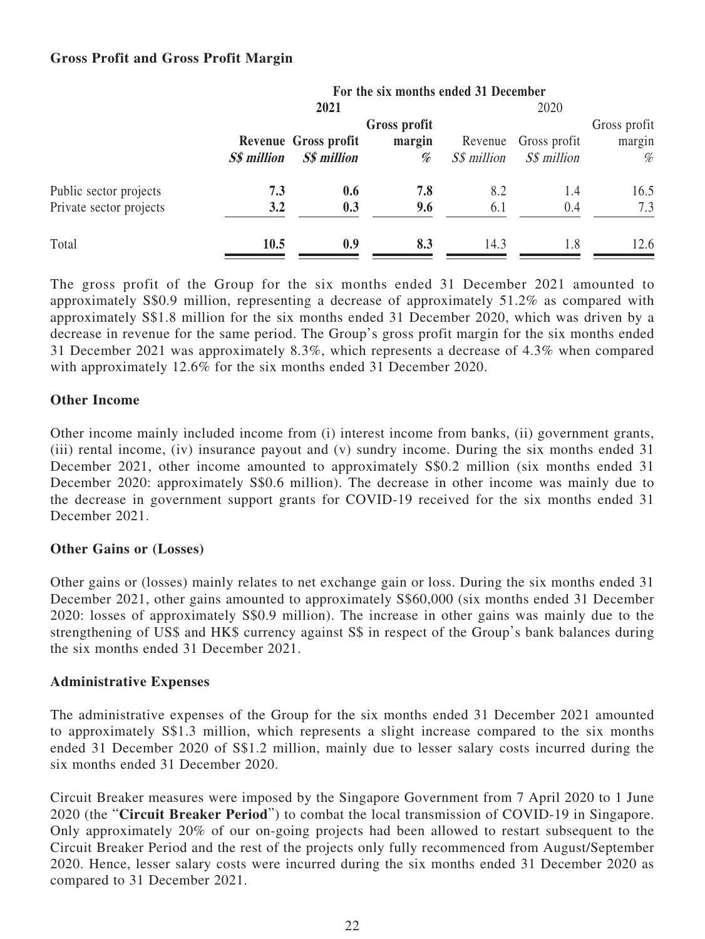## **Gross Profit and Gross Profit Margin**

|                                                   | For the six months ended 31 December |                                            |             |                        |                             |             |  |
|---------------------------------------------------|--------------------------------------|--------------------------------------------|-------------|------------------------|-----------------------------|-------------|--|
|                                                   |                                      | 2021                                       |             |                        | 2020                        |             |  |
|                                                   |                                      | Gross profit                               |             |                        | Gross profit                |             |  |
|                                                   | <b>S\$</b> million                   | Revenue Gross profit<br><b>S\$</b> million | margin<br>% | Revenue<br>S\$ million | Gross profit<br>S\$ million | margin<br>% |  |
| Public sector projects<br>Private sector projects | 7.3<br>3.2                           | 0.6<br>0.3                                 | 7.8<br>9.6  | 8.2<br>6.1             | 1.4<br>0.4                  | 16.5<br>7.3 |  |
| Total                                             | <b>10.5</b>                          | 0.9                                        | 8.3         | 14.3                   | 1.8                         | 12.6        |  |

The gross profit of the Group for the six months ended 31 December 2021 amounted to approximately S\$0.9 million, representing a decrease of approximately 51.2% as compared with approximately S\$1.8 million for the six months ended 31 December 2020, which was driven by a decrease in revenue for the same period. The Group's gross profit margin for the six months ended 31 December 2021 was approximately 8.3%, which represents a decrease of 4.3% when compared with approximately 12.6% for the six months ended 31 December 2020.

### **Other Income**

Other income mainly included income from (i) interest income from banks, (ii) government grants, (iii) rental income, (iv) insurance payout and (v) sundry income. During the six months ended 31 December 2021, other income amounted to approximately S\$0.2 million (six months ended 31 December 2020: approximately S\$0.6 million). The decrease in other income was mainly due to the decrease in government support grants for COVID-19 received for the six months ended 31 December 2021.

### **Other Gains or (Losses)**

Other gains or (losses) mainly relates to net exchange gain or loss. During the six months ended 31 December 2021, other gains amounted to approximately S\$60,000 (six months ended 31 December 2020: losses of approximately S\$0.9 million). The increase in other gains was mainly due to the strengthening of US\$ and HK\$ currency against S\$ in respect of the Group's bank balances during the six months ended 31 December 2021.

### **Administrative Expenses**

The administrative expenses of the Group for the six months ended 31 December 2021 amounted to approximately S\$1.3 million, which represents a slight increase compared to the six months ended 31 December 2020 of S\$1.2 million, mainly due to lesser salary costs incurred during the six months ended 31 December 2020.

Circuit Breaker measures were imposed by the Singapore Government from 7 April 2020 to 1 June 2020 (the "**Circuit Breaker Period**") to combat the local transmission of COVID-19 in Singapore. Only approximately 20% of our on-going projects had been allowed to restart subsequent to the Circuit Breaker Period and the rest of the projects only fully recommenced from August/September 2020. Hence, lesser salary costs were incurred during the six months ended 31 December 2020 as compared to 31 December 2021.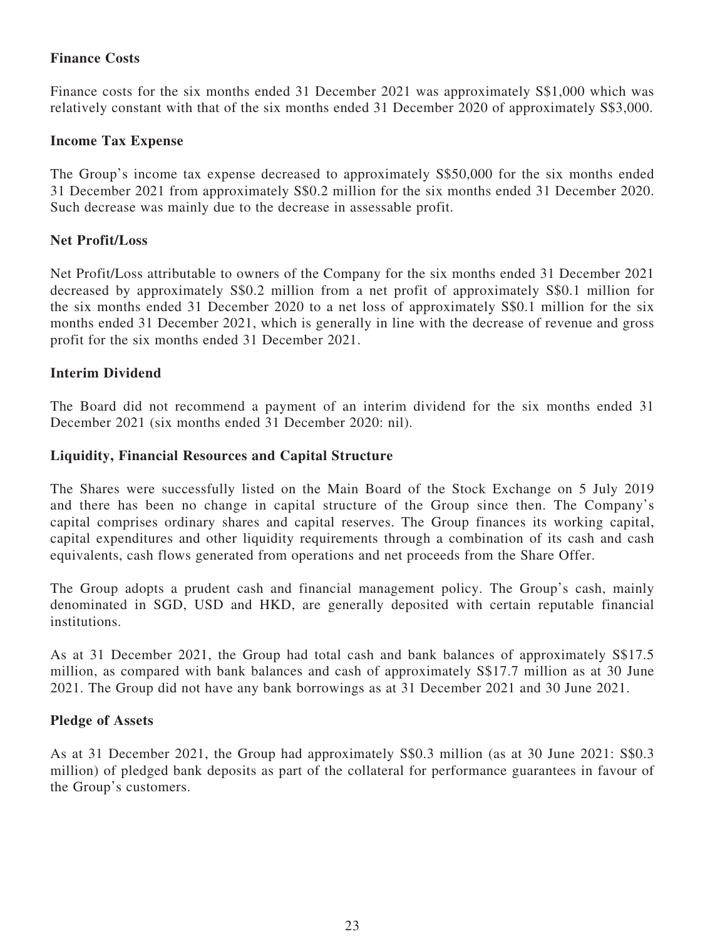# **Finance Costs**

Finance costs for the six months ended 31 December 2021 was approximately S\$1,000 which was relatively constant with that of the six months ended 31 December 2020 of approximately S\$3,000.

## **Income Tax Expense**

The Group's income tax expense decreased to approximately S\$50,000 for the six months ended 31 December 2021 from approximately S\$0.2 million for the six months ended 31 December 2020. Such decrease was mainly due to the decrease in assessable profit.

### **Net Profit/Loss**

Net Profit/Loss attributable to owners of the Company for the six months ended 31 December 2021 decreased by approximately S\$0.2 million from a net profit of approximately S\$0.1 million for the six months ended 31 December 2020 to a net loss of approximately S\$0.1 million for the six months ended 31 December 2021, which is generally in line with the decrease of revenue and gross profit for the six months ended 31 December 2021.

### **Interim Dividend**

The Board did not recommend a payment of an interim dividend for the six months ended 31 December 2021 (six months ended 31 December 2020: nil).

### **Liquidity, Financial Resources and Capital Structure**

The Shares were successfully listed on the Main Board of the Stock Exchange on 5 July 2019 and there has been no change in capital structure of the Group since then. The Company's capital comprises ordinary shares and capital reserves. The Group finances its working capital, capital expenditures and other liquidity requirements through a combination of its cash and cash equivalents, cash flows generated from operations and net proceeds from the Share Offer.

The Group adopts a prudent cash and financial management policy. The Group's cash, mainly denominated in SGD, USD and HKD, are generally deposited with certain reputable financial institutions.

As at 31 December 2021, the Group had total cash and bank balances of approximately S\$17.5 million, as compared with bank balances and cash of approximately S\$17.7 million as at 30 June 2021. The Group did not have any bank borrowings as at 31 December 2021 and 30 June 2021.

### **Pledge of Assets**

As at 31 December 2021, the Group had approximately S\$0.3 million (as at 30 June 2021: S\$0.3 million) of pledged bank deposits as part of the collateral for performance guarantees in favour of the Group's customers.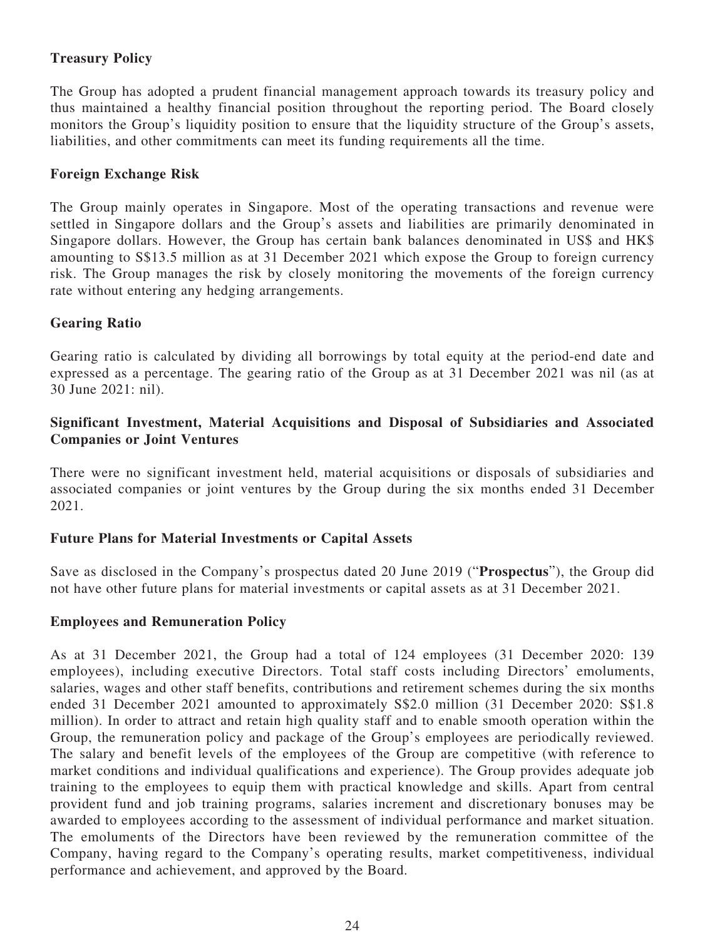## **Treasury Policy**

The Group has adopted a prudent financial management approach towards its treasury policy and thus maintained a healthy financial position throughout the reporting period. The Board closely monitors the Group's liquidity position to ensure that the liquidity structure of the Group's assets, liabilities, and other commitments can meet its funding requirements all the time.

## **Foreign Exchange Risk**

The Group mainly operates in Singapore. Most of the operating transactions and revenue were settled in Singapore dollars and the Group's assets and liabilities are primarily denominated in Singapore dollars. However, the Group has certain bank balances denominated in US\$ and HK\$ amounting to S\$13.5 million as at 31 December 2021 which expose the Group to foreign currency risk. The Group manages the risk by closely monitoring the movements of the foreign currency rate without entering any hedging arrangements.

### **Gearing Ratio**

Gearing ratio is calculated by dividing all borrowings by total equity at the period-end date and expressed as a percentage. The gearing ratio of the Group as at 31 December 2021 was nil (as at 30 June 2021: nil).

## **Significant Investment, Material Acquisitions and Disposal of Subsidiaries and Associated Companies or Joint Ventures**

There were no significant investment held, material acquisitions or disposals of subsidiaries and associated companies or joint ventures by the Group during the six months ended 31 December 2021.

### **Future Plans for Material Investments or Capital Assets**

Save as disclosed in the Company's prospectus dated 20 June 2019 ("**Prospectus**"), the Group did not have other future plans for material investments or capital assets as at 31 December 2021.

### **Employees and Remuneration Policy**

As at 31 December 2021, the Group had a total of 124 employees (31 December 2020: 139 employees), including executive Directors. Total staff costs including Directors' emoluments, salaries, wages and other staff benefits, contributions and retirement schemes during the six months ended 31 December 2021 amounted to approximately S\$2.0 million (31 December 2020: S\$1.8 million). In order to attract and retain high quality staff and to enable smooth operation within the Group, the remuneration policy and package of the Group's employees are periodically reviewed. The salary and benefit levels of the employees of the Group are competitive (with reference to market conditions and individual qualifications and experience). The Group provides adequate job training to the employees to equip them with practical knowledge and skills. Apart from central provident fund and job training programs, salaries increment and discretionary bonuses may be awarded to employees according to the assessment of individual performance and market situation. The emoluments of the Directors have been reviewed by the remuneration committee of the Company, having regard to the Company's operating results, market competitiveness, individual performance and achievement, and approved by the Board.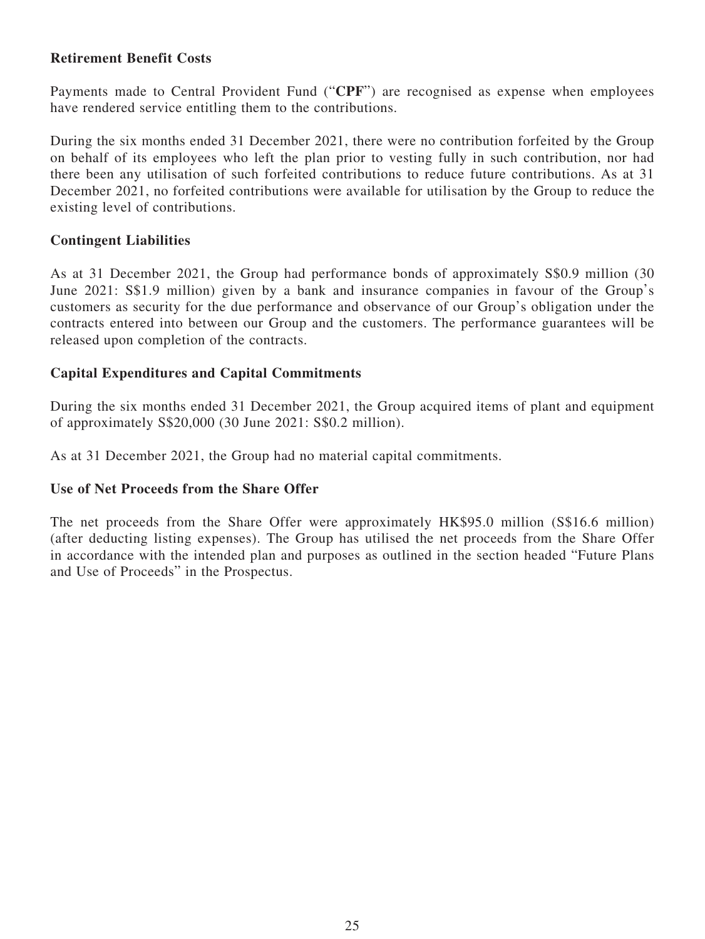## **Retirement Benefit Costs**

Payments made to Central Provident Fund ("**CPF**") are recognised as expense when employees have rendered service entitling them to the contributions.

During the six months ended 31 December 2021, there were no contribution forfeited by the Group on behalf of its employees who left the plan prior to vesting fully in such contribution, nor had there been any utilisation of such forfeited contributions to reduce future contributions. As at 31 December 2021, no forfeited contributions were available for utilisation by the Group to reduce the existing level of contributions.

## **Contingent Liabilities**

As at 31 December 2021, the Group had performance bonds of approximately S\$0.9 million (30 June 2021: S\$1.9 million) given by a bank and insurance companies in favour of the Group's customers as security for the due performance and observance of our Group's obligation under the contracts entered into between our Group and the customers. The performance guarantees will be released upon completion of the contracts.

## **Capital Expenditures and Capital Commitments**

During the six months ended 31 December 2021, the Group acquired items of plant and equipment of approximately S\$20,000 (30 June 2021: S\$0.2 million).

As at 31 December 2021, the Group had no material capital commitments.

## **Use of Net Proceeds from the Share Offer**

The net proceeds from the Share Offer were approximately HK\$95.0 million (S\$16.6 million) (after deducting listing expenses). The Group has utilised the net proceeds from the Share Offer in accordance with the intended plan and purposes as outlined in the section headed "Future Plans and Use of Proceeds" in the Prospectus.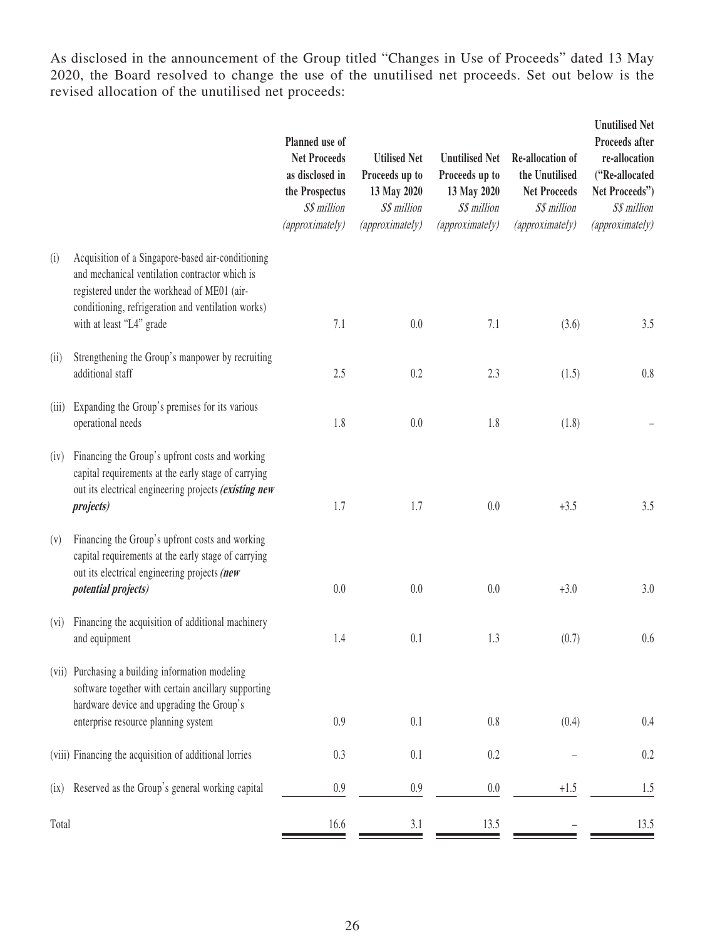As disclosed in the announcement of the Group titled "Changes in Use of Proceeds" dated 13 May 2020, the Board resolved to change the use of the unutilised net proceeds. Set out below is the revised allocation of the unutilised net proceeds:

|       |                                                                                                                                                                                                                                      | Planned use of<br><b>Net Proceeds</b><br>as disclosed in<br>the Prospectus<br>S\$ million<br>(approximately) | <b>Utilised Net</b><br>Proceeds up to<br>13 May 2020<br>S\$ million<br>(approximately) | <b>Unutilised Net</b><br>Proceeds up to<br>13 May 2020<br>S\$ million<br>(approximately) | Re-allocation of<br>the Unutilised<br><b>Net Proceeds</b><br>S\$ million<br>(approximately) | <b>Unutilised Net</b><br>Proceeds after<br>re-allocation<br>("Re-allocated<br>Net Proceeds")<br>S\$ million<br>(approximately) |
|-------|--------------------------------------------------------------------------------------------------------------------------------------------------------------------------------------------------------------------------------------|--------------------------------------------------------------------------------------------------------------|----------------------------------------------------------------------------------------|------------------------------------------------------------------------------------------|---------------------------------------------------------------------------------------------|--------------------------------------------------------------------------------------------------------------------------------|
| (i)   | Acquisition of a Singapore-based air-conditioning<br>and mechanical ventilation contractor which is<br>registered under the workhead of ME01 (air-<br>conditioning, refrigeration and ventilation works)<br>with at least "L4" grade | 7.1                                                                                                          | 0.0                                                                                    | 7.1                                                                                      | (3.6)                                                                                       | 3.5                                                                                                                            |
| (ii)  | Strengthening the Group's manpower by recruiting<br>additional staff                                                                                                                                                                 | 2.5                                                                                                          | 0.2                                                                                    | 2.3                                                                                      | (1.5)                                                                                       | 0.8                                                                                                                            |
| (iii) | Expanding the Group's premises for its various<br>operational needs                                                                                                                                                                  | 1.8                                                                                                          | 0.0                                                                                    | 1.8                                                                                      | (1.8)                                                                                       |                                                                                                                                |
| (iv)  | Financing the Group's upfront costs and working<br>capital requirements at the early stage of carrying<br>out its electrical engineering projects (existing new<br><i>projects</i> )                                                 | 1.7                                                                                                          | 1.7                                                                                    | 0.0                                                                                      | $+3.5$                                                                                      | 3.5                                                                                                                            |
| (v)   | Financing the Group's upfront costs and working<br>capital requirements at the early stage of carrying<br>out its electrical engineering projects (new<br><i>potential projects)</i>                                                 | 0.0                                                                                                          | 0.0                                                                                    | 0.0                                                                                      | $+3.0$                                                                                      | 3.0                                                                                                                            |
| (vi)  | Financing the acquisition of additional machinery<br>and equipment                                                                                                                                                                   | 1.4                                                                                                          | 0.1                                                                                    | 1.3                                                                                      | (0.7)                                                                                       | 0.6                                                                                                                            |
| (vii) | Purchasing a building information modeling<br>software together with certain ancillary supporting<br>hardware device and upgrading the Group's<br>enterprise resource planning system                                                | 0.9                                                                                                          | 0.1                                                                                    | 0.8                                                                                      | (0.4)                                                                                       | 0.4                                                                                                                            |
|       | (viii) Financing the acquisition of additional lorries                                                                                                                                                                               | 0.3                                                                                                          | 0.1                                                                                    | 0.2                                                                                      |                                                                                             | 0.2                                                                                                                            |
|       | Reserved as the Group's general working capital                                                                                                                                                                                      | $0.9\,$                                                                                                      | 0.9                                                                                    | 0.0                                                                                      | $+1.5$                                                                                      |                                                                                                                                |
| (ix)  |                                                                                                                                                                                                                                      |                                                                                                              |                                                                                        |                                                                                          |                                                                                             | 1.5                                                                                                                            |
| Total |                                                                                                                                                                                                                                      | 16.6                                                                                                         | 3.1                                                                                    | 13.5                                                                                     |                                                                                             | 13.5                                                                                                                           |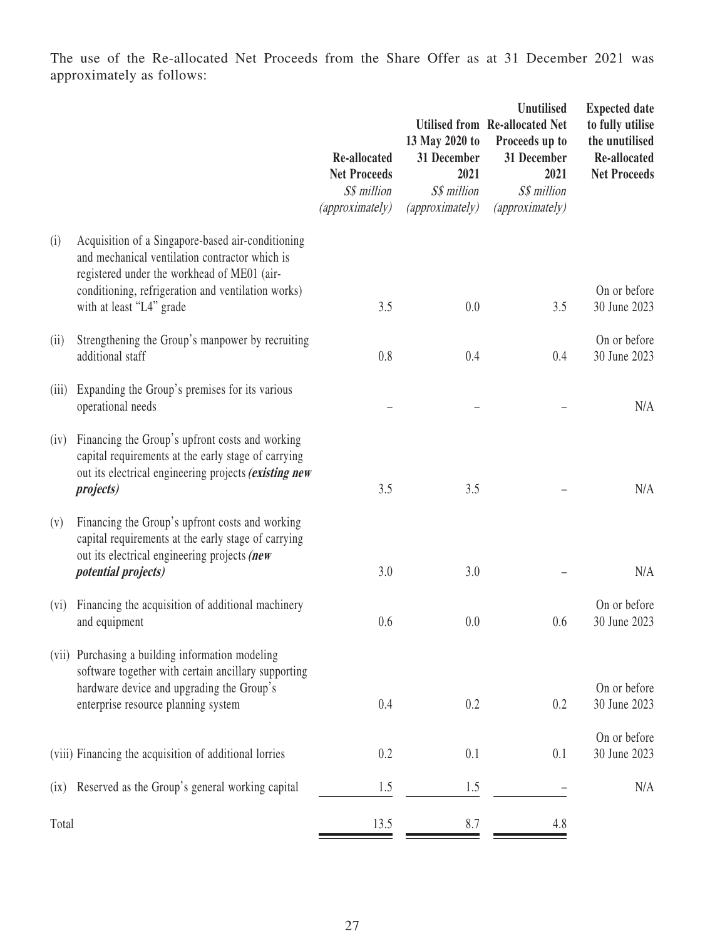The use of the Re-allocated Net Proceeds from the Share Offer as at 31 December 2021 was approximately as follows:

|         |                                                                                                                                                                                                                                      | Re-allocated<br><b>Net Proceeds</b><br>S\$ million<br>(approximately) | 13 May 2020 to<br>31 December<br>2021<br>S\$ million<br>(approximately) | <b>Unutilised</b><br><b>Utilised from Re-allocated Net</b><br>Proceeds up to<br>31 December<br>2021<br>S\$ million<br>(approximately) | <b>Expected date</b><br>to fully utilise<br>the unutilised<br>Re-allocated<br><b>Net Proceeds</b> |
|---------|--------------------------------------------------------------------------------------------------------------------------------------------------------------------------------------------------------------------------------------|-----------------------------------------------------------------------|-------------------------------------------------------------------------|---------------------------------------------------------------------------------------------------------------------------------------|---------------------------------------------------------------------------------------------------|
| (i)     | Acquisition of a Singapore-based air-conditioning<br>and mechanical ventilation contractor which is<br>registered under the workhead of ME01 (air-<br>conditioning, refrigeration and ventilation works)<br>with at least "L4" grade | 3.5                                                                   | 0.0                                                                     | 3.5                                                                                                                                   | On or before<br>30 June 2023                                                                      |
| (ii)    | Strengthening the Group's manpower by recruiting<br>additional staff                                                                                                                                                                 | 0.8                                                                   | 0.4                                                                     | 0.4                                                                                                                                   | On or before<br>30 June 2023                                                                      |
| (iii)   | Expanding the Group's premises for its various<br>operational needs                                                                                                                                                                  |                                                                       |                                                                         |                                                                                                                                       | N/A                                                                                               |
| (iv)    | Financing the Group's upfront costs and working<br>capital requirements at the early stage of carrying<br>out its electrical engineering projects (existing new<br><i>projects</i> )                                                 | 3.5                                                                   | 3.5                                                                     |                                                                                                                                       | N/A                                                                                               |
| (v)     | Financing the Group's upfront costs and working<br>capital requirements at the early stage of carrying<br>out its electrical engineering projects (new<br><i>potential projects)</i>                                                 | 3.0                                                                   | 3.0                                                                     |                                                                                                                                       | N/A                                                                                               |
| $(v_i)$ | Financing the acquisition of additional machinery<br>and equipment                                                                                                                                                                   | 0.6                                                                   | 0.0                                                                     | 0.6                                                                                                                                   | On or before<br>30 June 2023                                                                      |
|         | (vii) Purchasing a building information modeling<br>software together with certain ancillary supporting<br>hardware device and upgrading the Group's<br>enterprise resource planning system                                          | 0.4                                                                   | 0.2                                                                     | 0.2                                                                                                                                   | On or before<br>30 June 2023                                                                      |
|         | (viii) Financing the acquisition of additional lorries                                                                                                                                                                               | 0.2                                                                   | 0.1                                                                     | 0.1                                                                                                                                   | On or before<br>30 June 2023                                                                      |
| (ix)    | Reserved as the Group's general working capital                                                                                                                                                                                      | 1.5                                                                   | 1.5                                                                     |                                                                                                                                       | N/A                                                                                               |
| Total   |                                                                                                                                                                                                                                      | 13.5                                                                  | 8.7                                                                     | 4.8                                                                                                                                   |                                                                                                   |